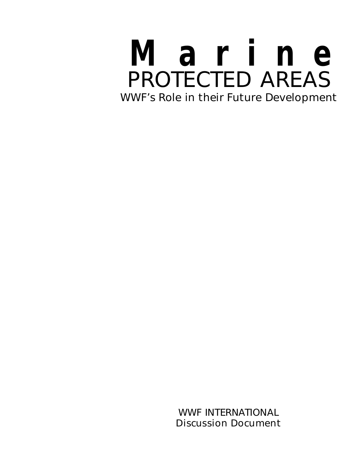# *M a r i n e* PROTECTED AREAS WWF's Role in their Future Development

WWF INTERNATIONAL *Discussion Document*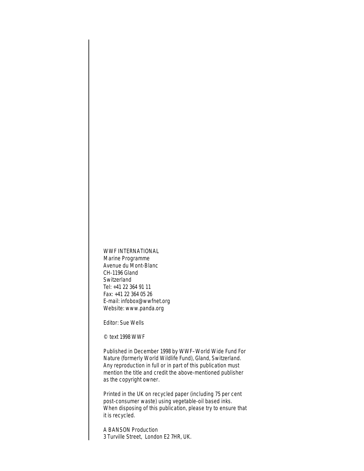WWF INTERNATIONAL Marine Programme Avenue du Mont-Blanc CH-1196 Gland Switzerland Tel: +41 22 364 91 11 Fax: +41 22 364 05 26 E-mail: infobox@wwfnet.org Website: www.panda.org

Editor: Sue Wells

© text 1998 WWF

Published in December 1998 by WWF–World Wide Fund For Nature (formerly World Wildlife Fund), Gland, Switzerland. Any reproduction in full or in part of this publication must mention the title and credit the above-mentioned publisher as the copyright owner.

Printed in the UK on recycled paper (including 75 per cent post-consumer waste) using vegetable-oil based inks. When disposing of this publication, please try to ensure that it is recycled.

A BANSON Production 3 Turville Street, London E2 7HR, UK.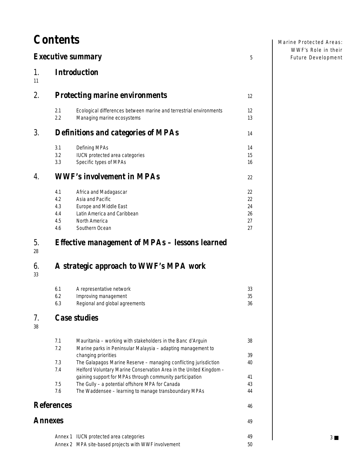|          | <b>Contents</b>                           |                                                                                                                                                                                                    |                                  |
|----------|-------------------------------------------|----------------------------------------------------------------------------------------------------------------------------------------------------------------------------------------------------|----------------------------------|
|          |                                           | <b>Executive summary</b>                                                                                                                                                                           | 5                                |
| 1.<br>11 |                                           | <b>Introduction</b>                                                                                                                                                                                |                                  |
| 2.       | <b>Protecting marine environments</b>     |                                                                                                                                                                                                    | 12                               |
|          | 2.1<br>2.2                                | Ecological differences between marine and terrestrial environments<br>Managing marine ecosystems                                                                                                   | 12<br>13                         |
| 3.       | <b>Definitions and categories of MPAs</b> |                                                                                                                                                                                                    | 14                               |
|          | 3.1<br>3.2<br>3.3                         | Defining MPAs<br>IUCN protected area categories<br>Specific types of MPAs                                                                                                                          | 14<br>15<br>16                   |
| 4.       | <b>WWF's involvement in MPAs</b>          |                                                                                                                                                                                                    | 22                               |
|          | 4.1<br>4.2<br>4.3<br>4.4<br>4.5<br>4.6    | Africa and Madagascar<br>Asia and Pacific<br>Europe and Middle East<br>Latin America and Caribbean<br>North America<br>Southern Ocean                                                              | 22<br>22<br>24<br>26<br>27<br>27 |
| 5.<br>28 |                                           | <b>Effective management of MPAs – lessons learned</b>                                                                                                                                              |                                  |
| 6.<br>33 |                                           | A strategic approach to WWF's MPA work                                                                                                                                                             |                                  |
|          | 6.1<br>6.2<br>6.3                         | A representative network<br>Improving management<br>Regional and global agreements                                                                                                                 | 33<br>35<br>36                   |
| 7.<br>38 | <b>Case studies</b>                       |                                                                                                                                                                                                    |                                  |
|          | 7.1<br>7.2                                | Mauritania - working with stakeholders in the Banc d'Arguin<br>Marine parks in Peninsular Malaysia - adapting management to<br>changing priorities                                                 | 38<br>39                         |
|          | 7.3<br>7.4                                | The Galapagos Marine Reserve - managing conflicting jurisdiction<br>Helford Voluntary Marine Conservation Area in the United Kingdom -<br>gaining support for MPAs through community participation | 40<br>41                         |
|          | 7.5<br>7.6                                | The Gully - a potential offshore MPA for Canada<br>The Waddensee - learning to manage transboundary MPAs                                                                                           | 43<br>44                         |
|          | <b>References</b>                         |                                                                                                                                                                                                    | 46                               |
|          | <b>Annexes</b>                            |                                                                                                                                                                                                    | 49                               |
|          |                                           | Annex 1 IUCN protected area categories<br>Annex 2 MPA site-based projects with WWF involvement                                                                                                     | 49<br>50                         |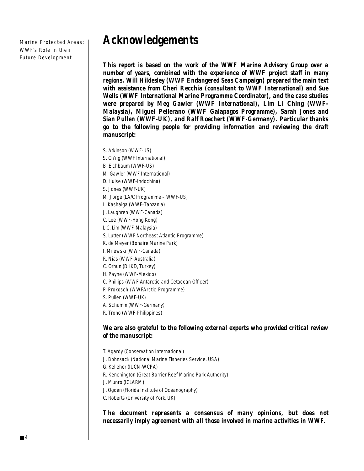## *Acknowledgements*

*This report is based on the work of the WWF Marine Advisory Group over a number of years, combined with the experience of WWF project staff in many regions. Will Hildesley (WWF Endangered Seas Campaign) prepared the main text with assistance from Cheri Recchia (consultant to WWF International) and Sue Wells (WWF International Marine Programme Coordinator), and the case studies were prepared by Meg Gawler (WWF International), Lim Li Ching (WWF-Malaysia), Miguel Pellerano (WWF Galapagos Programme), Sarah Jones and Sian Pullen (WWF-UK), and Ralf Roechert (WWF-Germany). Particular thanks go to the following people for providing information and reviewing the draft manuscript:*

- S. Atkinson (WWF-US)
- S. Ch'ng (WWF International)
- B. Eichbaum (WWF-US)
- M. Gawler (WWF International)
- D. Hulse (WWF-Indochina)
- S. Jones (WWF-UK)
- M. Jorge (LA/C Programme WWF-US)
- L. Kashaiga (WWF-Tanzania)
- J. Laughren (WWF-Canada)
- C. Lee (WWF-Hong Kong)
- L.C. Lim (WWF-Malaysia)
- S. Lutter (WWF Northeast Atlantic Programme)
- K. de Meyer (Bonaire Marine Park)
- I. Milewski (WWF-Canada)
- R. Nias (WWF-Australia)
- C. Orhun (DHKD, Turkey)
- H. Payne (WWF-Mexico)
- C. Phillips (WWF Antarctic and Cetacean Officer)
- P. Prokosch (WWFArctic Programme)
- S. Pullen (WWF-UK)
- A. Schumm (WWF-Germany)
- R. Trono (WWF-Philippines)

#### *We are also grateful to the following external experts who provided critical review of the manuscript:*

- T. Agardy (Conservation International)
- J. Bohnsack (National Marine Fisheries Service, USA)
- G. Kelleher (IUCN-WCPA)
- R. Kenchington (Great Barrier Reef Marine Park Authority)
- J. Munro (ICLARM)
- J. Ogden (Florida Institute of Oceanography)
- C. Roberts (University of York, UK)

#### *The document represents a consensus of many opinions, but does not necessarily imply agreement with all those involved in marine activities in WWF.*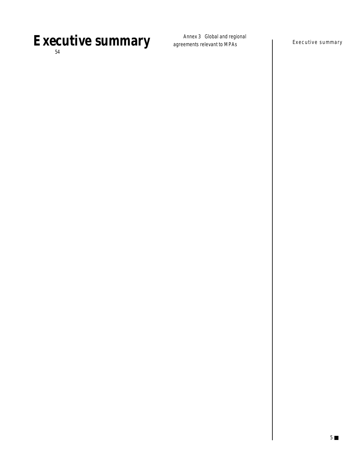## 54 *Executive summary*

Annex 3 Global and regional agreements relevant to MPAs

Executive summary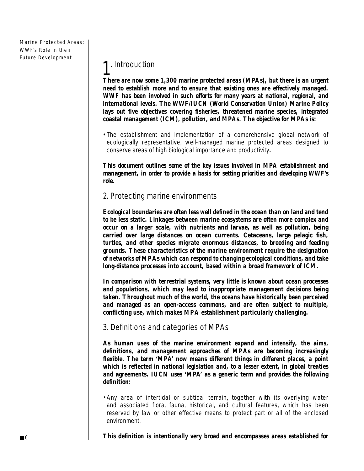# 1 . Introduction

*There are now some 1,300 marine protected areas (MPAs), but there is an urgent need to establish more and to ensure that existing ones are effectively managed. WWF has been involved in such efforts for many years at national, regional, and international levels. The WWF/IUCN (World Conservation Union) Marine Policy lays out five objectives covering fisheries, threatened marine species, integrated coastal management (ICM), pollution, and MPAs. The objective for MPAs is:*

• The establishment and implementation of a comprehensive global network of ecologically representative, well-managed marine protected areas designed to conserve areas of high biological importance and productivity**.**

*This document outlines some of the key issues involved in MPA establishment and management, in order to provide a basis for setting priorities and developing WWF's* role.

## 2. Protecting marine environments

*Ecological boundaries are often less well defined in the ocean than on land and tend to be less static. Linkages between marine ecosystems are often more complex and occur on a larger scale, with nutrients and larvae, as well as pollution, being carried over large distances on ocean currents. Cetaceans, large pelagic fish, turtles, and other species migrate enormous distances, to breeding and feeding grounds. These characteristics of the marine environment require the designation of networks of MPAs which can respond to changing ecological conditions, and take long-distance processes into account, based within a broad framework of ICM.*

*In comparison with terrestrial systems, very little is known about ocean processes and populations, which may lead to inappropriate management decisions being taken. Throughout much of the world, the oceans have historically been perceived and managed as an open-access commons, and are often subject to multiple, conflicting use, which makes MPA establishment particularly challenging.* 

### 3. Definitions and categories of MPAs

*As human uses of the marine environment expand and intensify, the aims, definitions, and management approaches of MPAs are becoming increasingly flexible. The term 'MPA' now means different things in different places, a point which is reflected in national legislation and, to a lesser extent, in global treaties and agreements. IUCN uses 'MPA' as a generic term and provides the following definition:* 

• Any area of intertidal or subtidal terrain, together with its overlying water and associated flora, fauna, historical, and cultural features, which has been reserved by law or other effective means to protect part or all of the enclosed environment.

#### *This definition is intentionally very broad and encompasses areas established for*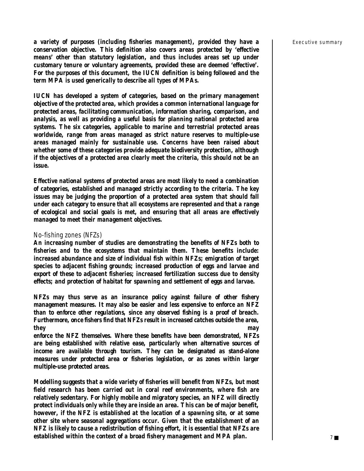*a variety of purposes (including fisheries management), provided they have a conservation objective. This definition also covers areas protected by 'effective means' other than statutory legislation, and thus includes areas set up under customary tenure or voluntary agreements, provided these are deemed 'effective'. For the purposes of this document, the IUCN definition is being followed and the term MPA is used generically to describe all types of MPAs.*

*IUCN has developed a system of categories, based on the primary management objective of the protected area, which provides a common international language for protected areas, facilitating communication, information sharing, comparison, and analysis, as well as providing a useful basis for planning national protected area systems. The six categories, applicable to marine and terrestrial protected areas worldwide, range from areas managed as strict nature reserves to multiple-use areas managed mainly for sustainable use. Concerns have been raised about whether some of these categories provide adequate biodiversity protection, although if the objectives of a protected area clearly meet the criteria, this should not be an issue.*

*Effective national systems of protected areas are most likely to need a combination of categories, established and managed strictly according to the criteria. The key issues may be judging the proportion of a protected area system that should fall under each category to ensure that all ecosystems are represented and that a range of ecological and social goals is met, and ensuring that all areas are effectively managed to meet their management objectives.*

#### No-fishing zones (NFZs)

*An increasing number of studies are demonstrating the benefits of NFZs both to fisheries and to the ecosystems that maintain them. These benefits include: increased abundance and size of individual fish within NFZs; emigration of target species to adjacent fishing grounds; increased production of eggs and larvae and export of these to adjacent fisheries; increased fertilization success due to density effects; and protection of habitat for spawning and settlement of eggs and larvae.*

*NFZs may thus serve as an insurance policy against failure of other fishery management measures. It may also be easier and less expensive to enforce an NFZ than to enforce other regulations, since any observed fishing is a proof of breach. Furthermore, once fishers find that NFZs result in increased catches outside the area, they may* 

*enforce the NFZ themselves. Where these benefits have been demonstrated, NFZs are being established with relative ease, particularly when alternative sources of income are available through tourism. They can be designated as stand-alone measures under protected area or fisheries legislation, or as zones within larger multiple-use protected areas.*

*Modelling suggests that a wide variety of fisheries will benefit from NFZs, but most field research has been carried out in coral reef environments, where fish are relatively sedentary. For highly mobile and migratory species, an NFZ will directly protect individuals only while they are inside an area. This can be of major benefit, however, if the NFZ is established at the location of a spawning site, or at some other site where seasonal aggregations occur. Given that the establishment of an NFZ is likely to cause a redistribution of fishing effort, it is essential that NFZs are established within the context of a broad fishery management and MPA plan.*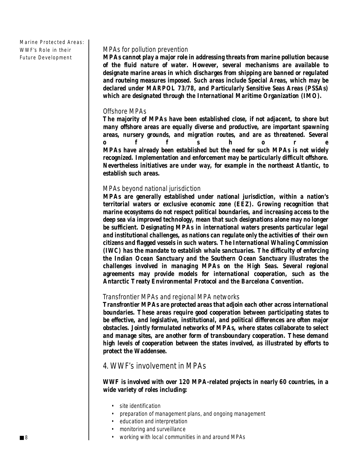#### MPAs for pollution prevention

*MPAs cannot play a major role in addressing threats from marine pollution because of the fluid nature of water. However, several mechanisms are available to designate marine areas in which discharges from shipping are banned or regulated and routeing measures imposed. Such areas include Special Areas, which may be declared under MARPOL 73/78, and Particularly Sensitive Seas Areas (PSSAs) which are designated through the International Maritime Organization (IMO).*

#### Offshore MPAs

*The majority of MPAs have been established close, if not adjacent, to shore but many offshore areas are equally diverse and productive, are important spawning areas, nursery grounds, and migration routes, and are as threatened. Several o f f s h o r e MPAs have already been established but the need for such MPAs is not widely recognized. Implementation and enforcement may be particularly difficult offshore. Nevertheless initiatives are under way, for example in the northeast Atlantic, to establish such areas.*

#### MPAs beyond national jurisdiction

*MPAs are generally established under national jurisdiction, within a nation's territorial waters or exclusive economic zone (EEZ). Growing recognition that marine ecosystems do not respect political boundaries, and increasing access to the deep sea via improved technology, mean that such designations alone may no longer be sufficient. Designating MPAs in international waters presents particular legal and institutional challenges, as nations can regulate only the activities of their own citizens and flagged vessels in such waters. The International Whaling Commission (IWC) has the mandate to establish whale sanctuaries. The difficulty of enforcing the Indian Ocean Sanctuary and the Southern Ocean Sanctuary illustrates the challenges involved in managing MPAs on the High Seas. Several regional agreements may provide models for international cooperation, such as the Antarctic Treaty Environmental Protocol and the Barcelona Convention.*

#### Transfrontier MPAs and regional MPA networks

*Transfrontier MPAs are protected areas that adjoin each other across international boundaries. These areas require good cooperation between participating states to be effective, and legislative, institutional, and political differences are often major obstacles. Jointly formulated networks of MPAs, where states collaborate to select and manage sites, are another form of transboundary cooperation. These demand high levels of cooperation between the states involved, as illustrated by efforts to protect the Waddensee.*

### 4. WWF's involvement in MPAs

*WWF is involved with over 120 MPA-related projects in nearly 60 countries, in a wide variety of roles including:* 

- site identification
- preparation of management plans, and ongoing management
	- education and interpretation
- monitoring and surveillance
- working with local communities in and around MPAs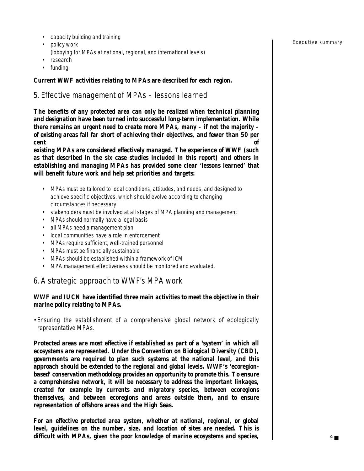- capacity building and training
- policy work (lobbying for MPAs at national, regional, and international levels)

Executive summary

• research funding.

### *Current WWF activities relating to MPAs are described for each region.*

## 5. Effective management of MPAs – lessons learned

*The benefits of any protected area can only be realized when technical planning and designation have been turned into successful long-term implementation. While there remains an urgent need to create more MPAs, many – if not the majority – of existing areas fall far short of achieving their objectives, and fewer than 50 per cent of* 

*existing MPAs are considered effectively managed. The experience of WWF (such as that described in the six case studies included in this report) and others in establishing and managing MPAs has provided some clear 'lessons learned' that will benefit future work and help set priorities and targets:*

- MPAs must be tailored to local conditions, attitudes, and needs, and designed to achieve specific objectives, which should evolve according to changing circumstances if necessary
- stakeholders must be involved at all stages of MPA planning and management
- MPAs should normally have a legal basis
- all MPAs need a management plan
- local communities have a role in enforcement
- MPAs require sufficient, well-trained personnel
- MPAs must be financially sustainable
- MPAs should be established within a framework of ICM
- MPA management effectiveness should be monitored and evaluated.

## 6. A strategic approach to WWF's MPA work

#### *WWF and IUCN have identified three main activities to meet the objective in their marine policy relating to MPAs.*

• Ensuring the establishment of a comprehensive global network of ecologically representative MPAs.

*Protected areas are most effective if established as part of a 'system' in which all ecosystems are represented. Under the Convention on Biological Diversity (CBD), governments are required to plan such systems at the national level, and this approach should be extended to the regional and global levels. WWF's 'ecoregionbased' conservation methodology provides an opportunity to promote this. To ensure a comprehensive network, it will be necessary to address the important linkages, created for example by currents and migratory species, between ecoregions themselves, and between ecoregions and areas outside them, and to ensure representation of offshore areas and the High Seas.* 

*For an effective protected area system, whether at national, regional, or global level, guidelines on the number, size, and location of sites are needed. This is difficult with MPAs, given the poor knowledge of marine ecosystems and species,*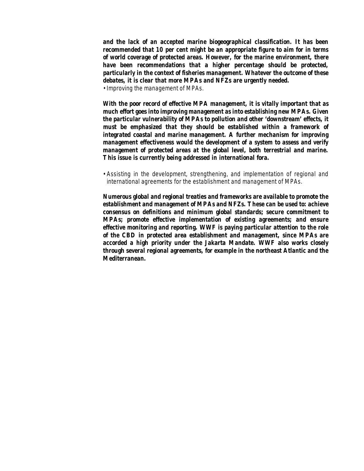*and the lack of an accepted marine biogeographical classification. It has been recommended that 10 per cent might be an appropriate figure to aim for in terms of world coverage of protected areas. However, for the marine environment, there have been recommendations that a higher percentage should be protected, particularly in the context of fisheries management. Whatever the outcome of these debates, it is clear that more MPAs and NFZs are urgently needed.*

• Improving the management of MPAs.

*With the poor record of effective MPA management, it is vitally important that as much effort goes into improving management as into establishing new MPAs. Given the particular vulnerability of MPAs to pollution and other 'downstream' effects, it must be emphasized that they should be established within a framework of integrated coastal and marine management. A further mechanism for improving management effectiveness would the development of a system to assess and verify management of protected areas at the global level, both terrestrial and marine. This issue is currently being addressed in international fora.*

• Assisting in the development, strengthening, and implementation of regional and international agreements for the establishment and management of MPAs.

*Numerous global and regional treaties and frameworks are available to promote the establishment and management of MPAs and NFZs. These can be used to: achieve consensus on definitions and minimum global standards; secure commitment to MPAs; promote effective implementation of existing agreements; and ensure effective monitoring and reporting. WWF is paying particular attention to the role of the CBD in protected area establishment and management, since MPAs are accorded a high priority under the Jakarta Mandate. WWF also works closely through several regional agreements, for example in the northeast Atlantic and the Mediterranean.*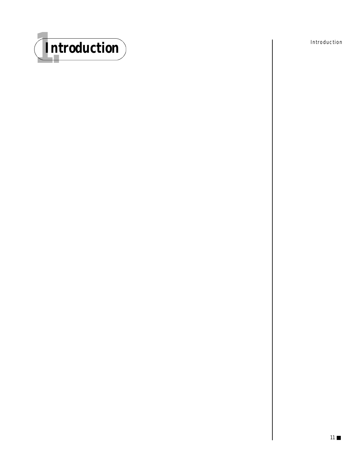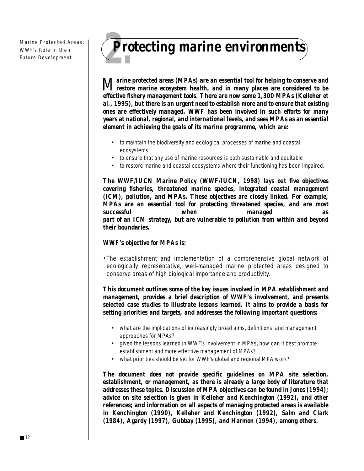## **2.***Protecting marine environments*

**M** arine protected areas (MPAs) are an essential tool for helping to conserve and restore marine ecosystem health, and in many places are considered to be *arine protected areas (MPAs) are an essential tool for helping to conserve and effective fishery management tools. There are now some 1,300 MPAs (Kelleher et al., 1995), but there is an urgent need to establish more and to ensure that existing ones are effectively managed. WWF has been involved in such efforts for many years at national, regional, and international levels, and sees MPAs as an essential element in achieving the goals of its marine programme, which are:*

- to maintain the biodiversity and ecological processes of marine and coastal ecosystems
- to ensure that any use of marine resources is both sustainable and equitable
- to restore marine and coastal ecosystems where their functioning has been impaired.

*The WWF/IUCN Marine Policy (WWF/IUCN, 1998) lays out five objectives covering fisheries, threatened marine species, integrated coastal management (ICM), pollution, and MPAs. These objectives are closely linked. For example, MPAs are an essential tool for protecting threatened species, and are most successful when managed as part of an ICM strategy, but are vulnerable to pollution from within and beyond their boundaries.* 

#### *WWF's objective for MPAs is:*

• The establishment and implementation of a comprehensive global network of ecologically representative, well-managed marine protected areas designed to conserve areas of high biological importance and productivity.

*This document outlines some of the key issues involved in MPA establishment and management, provides a brief description of WWF's involvement, and presents selected case studies to illustrate lessons learned. It aims to provide a basis for setting priorities and targets, and addresses the following important questions:*

- what are the implications of increasingly broad aims, definitions, and management approaches for MPAs?
- given the lessons learned in WWF's involvement in MPAs, how can it best promote establishment and more effective management of MPAs?
- what priorities should be set for WWF's global and regional MPA work?

*The document does not provide specific guidelines on MPA site selection, establishment, or management, as there is already a large body of literature that addresses these topics. Discussion of MPA objectives can be found in Jones (1994); advice on site selection is given in Kelleher and Kenchington (1992), and other references; and information on all aspects of managing protected areas is available in Kenchington (1990), Kelleher and Kenchington (1992), Salm and Clark (1984), Agardy (1997), Gubbay (1995), and Harmon (1994), among others.*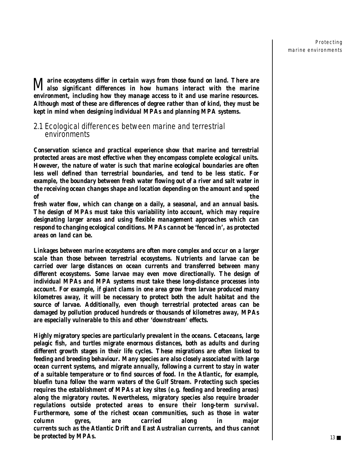**Marine ecosystems differ in certain ways from those found on land. There are**<br>also significant differences in how humans interact with the marine *also significant differences in how humans interact with the marine environment, including how they manage access to it and use marine resources. Although most of these are differences of degree rather than of kind, they must be kept in mind when designing individual MPAs and planning MPA systems.*

#### 2.1 Ecological differences between marine and terrestrial environments

*Conservation science and practical experience show that marine and terrestrial protected areas are most effective when they encompass complete ecological units. However, the nature of water is such that marine ecological boundaries are often less well defined than terrestrial boundaries, and tend to be less static. For example, the boundary between fresh water flowing out of a river and salt water in the receiving ocean changes shape and location depending on the amount and speed of the* 

*fresh water flow, which can change on a daily, a seasonal, and an annual basis. The design of MPAs must take this variability into account, which may require designating larger areas and using flexible management approaches which can respond to changing ecological conditions. MPAs cannot be 'fenced in', as protected areas on land can be.*

*Linkages between marine ecosystems are often more complex and occur on a larger scale than those between terrestrial ecosystems. Nutrients and larvae can be carried over large distances on ocean currents and transferred between many different ecosystems. Some larvae may even move directionally. The design of individual MPAs and MPA systems must take these long-distance processes into account. For example, if giant clams in one area grow from larvae produced many kilometres away, it will be necessary to protect both the adult habitat and the source of larvae. Additionally, even though terrestrial protected areas can be damaged by pollution produced hundreds or thousands of kilometres away, MPAs are especially vulnerable to this and other 'downstream' effects.* 

*Highly migratory species are particularly prevalent in the oceans. Cetaceans, large pelagic fish, and turtles migrate enormous distances, both as adults and during different growth stages in their life cycles. These migrations are often linked to feeding and breeding behaviour. Many species are also closely associated with large ocean current systems, and migrate annually, following a current to stay in water of a suitable temperature or to find sources of food. In the Atlantic, for example, bluefin tuna follow the warm waters of the Gulf Stream. Protecting such species requires the establishment of MPAs at key sites (e.g. feeding and breeding areas) along the migratory routes. Nevertheless, migratory species also require broader regulations outside protected areas to ensure their long-term survival. Furthermore, some of the richest ocean communities, such as those in water column gyres, are carried along in major currents such as the Atlantic Drift and East Australian currents, and thus cannot be protected by MPAs.*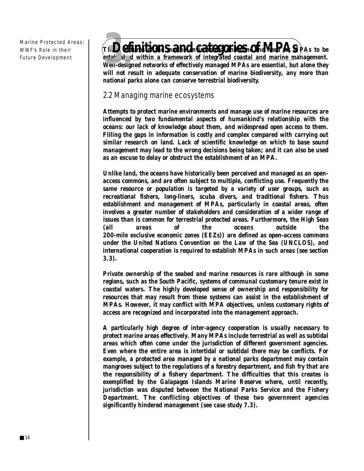WWF's Role in their Future Development

## These **features of the marine environment of the marine of the marine of the new marine the new marine the new marine of the new marine of the new marine of the marine of the marine of the new marine of the new marine of t**

*estal shed within a framework of integrated coastal and marine management. Well-designed networks of effectively managed MPAs are essential, but alone they will not result in adequate conservation of marine biodiversity, any more than national parks alone can conserve terrestrial biodiversity.* Marine Protected Areas:<br>WWF's Role in their<br>Future Development Well-designed networks of effectively managed MPAs are essential, but<br>Well-designed networks of effectively managed MPAs are essential, but<br>will not result in

## 2.2 Managing marine ecosystems

*Attempts to protect marine environments and manage use of marine resources are influenced by two fundamental aspects of humankind's relationship with the oceans: our lack of knowledge about them, and widespread open access to them. Filling the gaps in information is costly and complex compared with carrying out similar research on land. Lack of scientific knowledge on which to base sound management may lead to the wrong decisions being taken; and it can also be used as an excuse to delay or obstruct the establishment of an MPA.* 

*Unlike land, the oceans have historically been perceived and managed as an openaccess commons, and are often subject to multiple, conflicting use. Frequently the same resource or population is targeted by a variety of user groups, such as recreational fishers, long-liners, scuba divers, and traditional fishers. Thus establishment and management of MPAs, particularly in coastal areas, often involves a greater number of stakeholders and consideration of a wider range of issues than is common for terrestrial protected areas. Furthermore, the High Seas (all areas of the oceans outside the 200-mile exclusive economic zones (EEZs)) are defined as open-access commons under the United Nations Convention on the Law of the Sea (UNCLOS), and international cooperation is required to establish MPAs in such areas (see section 3.3).*

*Private ownership of the seabed and marine resources is rare although in some regions, such as the South Pacific, systems of communal customary tenure exist in coastal waters. The highly developed sense of ownership and responsibility for resources that may result from these systems can assist in the establishment of MPAs. However, it may conflict with MPA objectives, unless customary rights of access are recognized and incorporated into the management approach.*

*A particularly high degree of inter-agency cooperation is usually necessary to protect marine areas effectively. Many MPAs include terrestrial as well as subtidal areas which often come under the jurisdiction of different government agencies. Even where the entire area is intertidal or subtidal there may be conflicts. For example, a protected area managed by a national parks department may contain mangroves subject to the regulations of a forestry department, and fish fry that are the responsibility of a fishery department. The difficulties that this creates is exemplified by the Galapagos Islands Marine Reserve where, until recently, jurisdiction was disputed between the National Parks Service and the Fishery Department. The conflicting objectives of these two government agencies significantly hindered management (see case study 7.3).*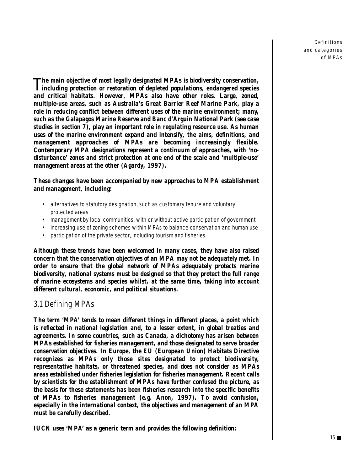Definitions and categories of MPAs

T *he main objective of most legally designated MPAs is biodiversity conservation, including protection or restoration of depleted populations, endangered species and critical habitats. However, MPAs also have other roles. Large, zoned, multiple-use areas, such as Australia's Great Barrier Reef Marine Park, play a role in reducing conflict between different uses of the marine environment; many, such as the Galapagos Marine Reserve and Banc d'Arguin National Park (see case studies in section 7), play an important role in regulating resource use. As human uses of the marine environment expand and intensify, the aims, definitions, and management approaches of MPAs are becoming increasingly flexible. Contemporary MPA designations represent a continuum of approaches, with 'nodisturbance' zones and strict protection at one end of the scale and 'multiple-use' management areas at the other (Agardy, 1997).* 

*These changes have been accompanied by new approaches to MPA establishment and management, including:*

- alternatives to statutory designation, such as customary tenure and voluntary protected areas
- management by local communities, with or without active participation of government
- increasing use of zoning schemes within MPAs to balance conservation and human use
- participation of the private sector, including tourism and fisheries.

*Although these trends have been welcomed in many cases, they have also raised concern that the conservation objectives of an MPA may not be adequately met. In order to ensure that the global network of MPAs adequately protects marine biodiversity, national systems must be designed so that they protect the full range of marine ecosystems and species whilst, at the same time, taking into account different cultural, economic, and political situations.* 

## 3.1 Defining MPAs

*The term 'MPA' tends to mean different things in different places, a point which is reflected in national legislation and, to a lesser extent, in global treaties and agreements. In some countries, such as Canada, a dichotomy has arisen between MPAs established for fisheries management, and those designated to serve broader conservation objectives. In Europe, the EU (European Union) Habitats Directive recognizes as MPAs only those sites designated to protect biodiversity, representative habitats, or threatened species, and does not consider as MPAs areas established under fisheries legislation for fisheries management. Recent calls by scientists for the establishment of MPAs have further confused the picture, as the basis for these statements has been fisheries research into the specific benefits of MPAs to fisheries management (e.g. Anon, 1997). To avoid confusion, especially in the international context, the objectives and management of an MPA must be carefully described.* 

*IUCN uses 'MPA' as a generic term and provides the following definition:*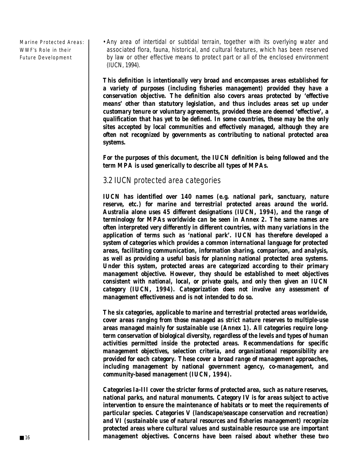• Any area of intertidal or subtidal terrain, together with its overlying water and associated flora, fauna, historical, and cultural features, which has been reserved by law or other effective means to protect part or all of the enclosed environment (IUCN, 1994).

*This definition is intentionally very broad and encompasses areas established for a variety of purposes (including fisheries management) provided they have a conservation objective. The definition also covers areas protected by 'effective means' other than statutory legislation, and thus includes areas set up under customary tenure or voluntary agreements, provided these are deemed 'effective', a qualification that has yet to be defined. In some countries, these may be the only sites accepted by local communities and effectively managed, although they are often not recognized by governments as contributing to national protected area systems.*

*For the purposes of this document, the IUCN definition is being followed and the term MPA is used generically to describe all types of MPAs.*

## 3.2 IUCN protected area categories

*IUCN has identified over 140 names (e.g. national park, sanctuary, nature reserve, etc.) for marine and terrestrial protected areas around the world. Australia alone uses 45 different designations (IUCN, 1994), and the range of terminology for MPAs worldwide can be seen in Annex 2. The same names are often interpreted very differently in different countries, with many variations in the application of terms such as 'national park'. IUCN has therefore developed a system of categories which provides a common international language for protected areas, facilitating communication, information sharing, comparison, and analysis, as well as providing a useful basis for planning national protected area systems. Under this system, protected areas are categorized according to their primary management objective. However, they should be established to meet objectives consistent with national, local, or private goals, and only then given an IUCN category (IUCN, 1994). Categorization does not involve any assessment of management effectiveness and is not intended to do so.*

*The six categories, applicable to marine and terrestrial protected areas worldwide, cover areas ranging from those managed as strict nature reserves to multiple-use areas managed mainly for sustainable use (Annex 1). All categories require longterm conservation of biological diversity, regardless of the levels and types of human activities permitted inside the protected areas. Recommendations for specific management objectives, selection criteria, and organizational responsibility are provided for each category. These cover a broad range of management approaches, including management by national government agency, co-management, and community-based management (IUCN, 1994).*

*Categories Ia-III cover the stricter forms of protected area, such as nature reserves, national parks, and natural monuments. Category IV is for areas subject to active intervention to ensure the maintenance of habitats or to meet the requirements of particular species. Categories V (landscape/seascape conservation and recreation) and VI (sustainable use of natural resources and fisheries management) recognize protected areas where cultural values and sustainable resource use are important management objectives. Concerns have been raised about whether these two*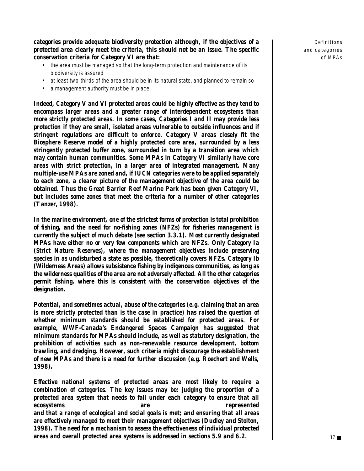#### *categories provide adequate biodiversity protection although, if the objectives of a protected area clearly meet the criteria, this should not be an issue. The specific conservation criteria for Category VI are that:*

- the area must be managed so that the long-term protection and maintenance of its biodiversity is assured
- at least two-thirds of the area should be in its natural state, and planned to remain so
- a management authority must be in place.

*Indeed, Category V and VI protected areas could be highly effective as they tend to encompass larger areas and a greater range of interdependent ecosystems than more strictly protected areas. In some cases, Categories I and II may provide less protection if they are small, isolated areas vulnerable to outside influences and if stringent regulations are difficult to enforce. Category V areas closely fit the Biosphere Reserve model of a highly protected core area, surrounded by a less stringently protected buffer zone, surrounded in turn by a transition area which may contain human communities. Some MPAs in Category VI similarly have core areas with strict protection, in a larger area of integrated management. Many multiple-use MPAs are zoned and, if IUCN categories were to be applied separately to each zone, a clearer picture of the management objective of the area could be obtained. Thus the Great Barrier Reef Marine Park has been given Category VI, but includes some zones that meet the criteria for a number of other categories (Tanzer, 1998).*

*In the marine environment, one of the strictest forms of protection is total prohibition of fishing, and the need for no-fishing zones (NFZs) for fisheries management is currently the subject of much debate (see section 3.3.1). Most currently designated M PAs have either no or very few components which are NFZs. Only Category Ia (Strict Nature Reserves), where the management objectives include preserving species in as undisturbed a state as possible, theoretically covers NFZs. Category Ib ( Wilderness Areas) allows subsistence fishing by indigenous communities, as long as the wilderness qualities of the area are not adversely affected. All the other categories permit fishing, where this is consistent with the conservation objectives of the*  $designation.$ 

*Potential, and sometimes actual, abuse of the categories (e.g. claiming that an area is more strictly protected than is the case in practice) has raised the question of whether minimum standards should be established for protected areas. For example, WWF-Canada's Endangered Spaces Campaign has suggested that minimum standards for MPAs should include, as well as statutory designation, the prohibition of activities such as non-renewable resource development, bottom trawling, and dredging. However, such criteria might discourage the establishment of new MPAs and there is a need for further discussion (e.g. Roechert and Wells, 1998).*

*Effective national systems of protected areas are most likely to require a combination of categories. The key issues may be: judging the proportion of a protected area system that needs to fall under each category to ensure that all ecosystems are represented and that a range of ecological and social goals is met; and ensuring that all areas are effectively managed to meet their management objectives (Dudley and Stolton, 1998). The need for a mechanism to assess the effectiveness of individual protected areas and overall protected area systems is addressed in sections 5.9 and 6.2.*

Definitions and categories of MPAs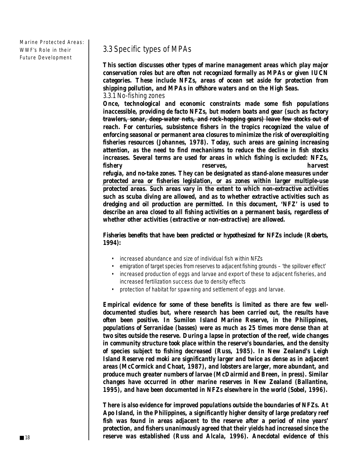### 3.3 Specific types of MPAs

*This section discusses other types of marine management areas which play major conservation roles but are often not recognized formally as MPAs or given IUCN categories. These include NFZs, areas of ocean set aside for protection from shipping pollution, and MPAs in offshore waters and on the High Seas.* 3.3.1 No-fishing zones

*Once, technological and economic constraints made some fish populations inaccessible, providing de facto NFZs, but modern boats and gear (such as factory trawlers, sonar, deep-water nets, and rock-hopping gears) leave few stocks out of reach. For centuries, subsistence fishers in the tropics recognized the value of enforcing seasonal or permanent area closures to minimize the risk of overexploiting fisheries resources (Johannes, 1978). Today, such areas are gaining increasing attention, as the need to find mechanisms to reduce the decline in fish stocks increases. Several terms are used for areas in which fishing is excluded: NFZs, fishery reserves, harvest refugia, and no-take zones. They can be designated as stand-alone measures under protected area or fisheries legislation, or as zones within larger multiple-use protected areas. Such areas vary in the extent to which non-extractive activities such as scuba diving are allowed, and as to whether extractive activities such as dredging and oil production are permitted. In this document, 'NFZ' is used to describe an area closed to all fishing activities on a permanent basis, regardless of whether other activities (extractive or non-extractive) are allowed.* 

*Fisheries benefits that have been predicted or hypothesized for NFZs include (Roberts, 1994*):

- increased abundance and size of individual fish within NFZs
- emigration of target species from reserves to adjacent fishing grounds 'the spillover effect'
- increased production of eggs and larvae and export of these to adjacent fisheries, and increased fertilization success due to density effects
- protection of habitat for spawning and settlement of eggs and larvae.

*Empirical evidence for some of these benefits is limited as there are few welldocumented studies but, where research has been carried out, the results have often been positive. In Sumilon Island Marine Reserve, in the Philippines, populations of Serranidae (basses) were as much as 25 times more dense than at two sites outside the reserve. During a lapse in protection of the reef, wide changes in community structure took place within the reserve's boundaries, and the density of species subject to fishing decreased (Russ, 1985). In New Zealand's Leigh Island Reserve red moki are significantly larger and twice as dense as in adjacent areas (McCormick and Choat, 1987), and lobsters are larger, more abundant, and produce much greater numbers of larvae (McDairmid and Breen, in press). Similar changes have occurred in other marine reserves in New Zealand (Ballantine, 1995), and have been documented in NFZs elsewhere in the world (Sobel, 1996).*

*There is also evidence for improved populations outside the boundaries of NFZs. At Apo Island, in the Philippines, a significantly higher density of large predatory reef fish was found in areas adjacent to the reserve after a period of nine years' protection, and fishers unanimously agreed that their yields had increased since the reserve was established (Russ and Alcala, 1996). Anecdotal evidence of this*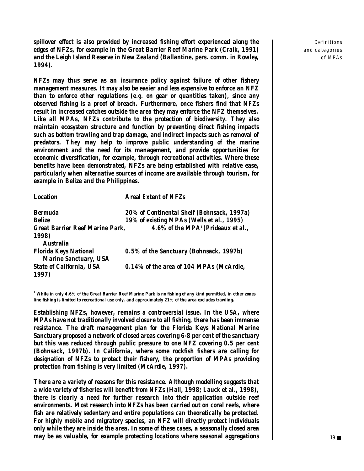*spillover effect is also provided by increased fishing effort experienced along the edges of NFZs, for example in the Great Barrier Reef Marine Park (Craik, 1991) and the Leigh Island Reserve in New Zealand (Ballantine, pers. comm. in Rowley, 1994).*

*NFZs may thus serve as an insurance policy against failure of other fishery management measures. It may also be easier and less expensive to enforce an NFZ than to enforce other regulations (e.g. on gear or quantities taken), since any observed fishing is a proof of breach. Furthermore, once fishers find that NFZs result in increased catches outside the area they may enforce the NFZ themselves. Like all MPAs, NFZs contribute to the protection of biodiversity. They also maintain ecosystem structure and function by preventing direct fishing impacts such as bottom trawling and trap damage, and indirect impacts such as removal of predators. They may help to improve public understanding of the marine environment and the need for its management, and provide opportunities for economic diversification, for example, through recreational activities. Where these benefits have been demonstrated, NFZs are being established with relative ease, particularly when alternative sources of income are available through tourism, for example in Belize and the Philippines.*

| Location                                                     | <b>Areal Extent of NFZs</b>                    |
|--------------------------------------------------------------|------------------------------------------------|
| <b>Bermuda</b>                                               | 20% of Continental Shelf (Bohnsack, 1997a)     |
| <b>Belize</b>                                                | 19% of existing MPAs (Wells et al., 1995)      |
| <b>Great Barrier Reef Marine Park,</b>                       | 4.6% of the MPA <sup>1</sup> (Prideaux et al., |
| 1998)<br><b>Australia</b>                                    |                                                |
| <b>Florida Keys National</b><br><b>Marine Sanctuary, USA</b> | 0.5% of the Sanctuary (Bohnsack, 1997b)        |
| <b>State of California, USA</b>                              | 0.14% of the area of 104 MPAs (McArdle,        |
| 1997)                                                        |                                                |

*<sup>1</sup> While in only 4.6% of the Great Barrier Reef Marine Park is no fishing of any kind permitted, in other zones line fishing is limited to recreational use only, and approximately 21% of the area excludes trawling.*

*Establishing NFZs, however, remains a controversial issue. In the USA, where MPAs have not traditionally involved closure to all fishing, there has been immense resistance. The draft management plan for the Florida Keys National Marine Sanctuary proposed a network of closed areas covering 6-8 per cent of the sanctuary but this was reduced through public pressure to one NFZ covering 0.5 per cent (Bohnsack, 1997b). In California, where some rockfish fishers are calling for designation of NFZs to protect their fishery, the proportion of MPAs providing protection from fishing is very limited (McArdle, 1997).*

*There are a variety of reasons for this resistance. Although modelling suggests that a wide variety of fisheries will benefit from NFZs (Hall, 1998; Lauck et al., 1998), there is clearly a need for further research into their application outside reef environments. Most research into NFZs has been carried out on coral reefs, where fish are relatively sedentary and entire populations can theoretically be protected. For highly mobile and migratory species, an NFZ will directly protect individuals only while they are inside the area. In some of these cases, a seasonally closed area may be as valuable, for example protecting locations where seasonal aggregations*

Definitions and categories of MPAs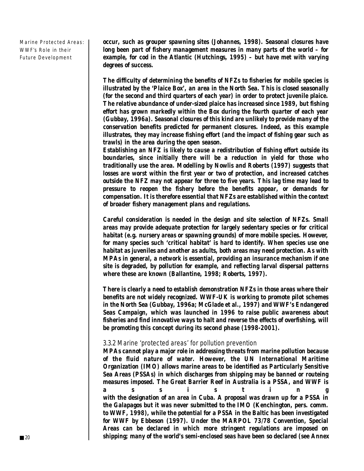*occur, such as grouper spawning sites (Johannes, 1998). Seasonal closures have long been part of fishery management measures in many parts of the world – for example, for cod in the Atlantic (Hutchings, 1995) – but have met with varying degrees of success.*

*The difficulty of determining the benefits of NFZs to fisheries for mobile species is illustrated by the 'Plaice Box', an area in the North Sea. This is closed seasonally (for the second and third quarters of each year) in order to protect juvenile plaice. The relative abundance of under-sized plaice has increased since 1989, but fishing effort has grown markedly within the Box during the fourth quarter of each year (Gubbay, 1996a). Seasonal closures of this kind are unlikely to provide many of the conservation benefits predicted for permanent closures. Indeed, as this example illustrates, they may increase fishing effort (and the impact of fishing gear such as trawls) in the area during the open season.* 

*Establishing an NFZ is likely to cause a redistribution of fishing effort outside its boundaries, since initially there will be a reduction in yield for those who traditionally use the area. Modelling by Nowlis and Roberts (1997) suggests that losses are worst within the first year or two of protection, and increased catches outside the NFZ may not appear for three to five years. This lag time may lead to pressure to reopen the fishery before the benefits appear, or demands for compensation. It is therefore essential that NFZs are established within the context of broader fishery management plans and regulations.*

*Careful consideration is needed in the design and site selection of NFZs. Small areas may provide adequate protection for largely sedentary species or for critical habitat (e.g. nursery areas or spawning grounds) of more mobile species. However, for many species such 'critical habitat' is hard to identify. When species use one habitat as juveniles and another as adults, both areas may need protection. As with MPAs in general, a network is essential, providing an insurance mechanism if one site is degraded, by pollution for example, and reflecting larval dispersal patterns where these are known (Ballantine, 1998; Roberts, 1997).*

*There is clearly a need to establish demonstration NFZs in those areas where their benefits are not widely recognized. WWF-UK is working to promote pilot schemes in the North Sea (Gubbay, 1996a; McGlade et al., 1997) and WWF's Endangered Seas Campaign, which was launched in 1996 to raise public awareness about fisheries and find innovative ways to halt and reverse the effects of overfishing, will be promoting this concept during its second phase (1998-2001).*

#### 3.3.2 Marine 'protected areas' for pollution prevention

*MPAs cannot play a major role in addressing threats from marine pollution because of the fluid nature of water. However, the UN International Maritime Organization (IMO) allows marine areas to be identified as Particularly Sensitive Sea Areas (PSSAs) in which discharges from shipping may be banned or routeing measures imposed. The Great Barrier Reef in Australia is a PSSA, and WWF is a s s i s t i n g with the designation of an area in Cuba. A proposal was drawn up for a PSSA in the Galapagos but it was never submitted to the IMO (Kenchington, pers. comm. to WWF, 1998), while the potential for a PSSA in the Baltic has been investigated for WWF by Ebbeson (1997). Under the MARPOL 73/78 Convention, Special Areas can be declared in which more stringent regulations are imposed on shipping; many of the world's semi-enclosed seas have been so declared (see Annex*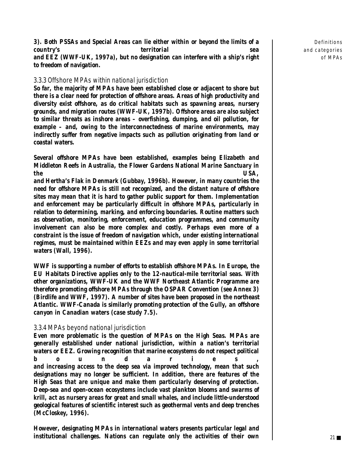*3). Both PSSAs and Special Areas can lie either within or beyond the limits of a country's* sea *sea sea sea sea sea and EEZ (WWF-UK, 1997a), but no designation can interfere with a ship's right to freedom of navigation.*

#### 3.3.3 Offshore MPAs within national jurisdiction

*So far, the majority of MPAs have been established close or adjacent to shore but there is a clear need for protection of offshore areas. Areas of high productivity and diversity exist offshore, as do critical habitats such as spawning areas, nursery grounds, and migration routes (WWF-UK, 1997b). Offshore areas are also subject to similar threats as inshore areas – overfishing, dumping, and oil pollution, for example – and, owing to the interconnectedness of marine environments, may indirectly suffer from negative impacts such as pollution originating from land or coastal waters.* 

*Several offshore MPAs have been established, examples being Elizabeth and Middleton Reefs in Australia, the Flower Gardens National Marine Sanctuary in the USA,* 

*and Hertha's Flak in Denmark (Gubbay, 1996b). However, in many countries the need for offshore MPAs is still not recognized, and the distant nature of offshore sites may mean that it is hard to gather public support for them. Implementation and enforcement may be particularly difficult in offshore MPAs, particularly in relation to determining, marking, and enforcing boundaries. Routine matters such as observation, monitoring, enforcement, education programmes, and community involvement can also be more complex and costly. Perhaps even more of a constraint is the issue of freedom of navigation which, under existing international regimes, must be maintained within EEZs and may even apply in some territorial waters (Wall, 1996).*

*WWF is supporting a number of efforts to establish offshore MPAs. In Europe, the EU Habitats Directive applies only to the 12-nautical-mile territorial seas. With other organizations, WWF-UK and the WWF Northeast Atlantic Programme are therefore promoting offshore MPAs through the OSPAR Convention (see Annex 3) (Birdlife and WWF, 1997). A number of sites have been proposed in the northeast Atlantic. WWF-Canada is similarly promoting protection of the Gully, an offshore canyon in Canadian waters (case study 7.5).*

#### 3.3.4 MPAs beyond national jurisdiction

*Even more problematic is the question of MPAs on the High Seas. MPAs are generally established under national jurisdiction, within a nation's territorial waters or EEZ. Growing recognition that marine ecosystems do not respect political b o u n d a r i e s , and increasing access to the deep sea via improved technology, mean that such designations may no longer be sufficient. In addition, there are features of the High Seas that are unique and make them particularly deserving of protection. Deep-sea and open-ocean ecosystems include vast plankton blooms and swarms of krill, act as nursery areas for great and small whales, and include little-understood geological features of scientific interest such as geothermal vents and deep trenches (McCloskey, 1996).*

*However, designating MPAs in international waters presents particular legal and institutional challenges. Nations can regulate only the activities of their own*

Definitions and categories of MPAs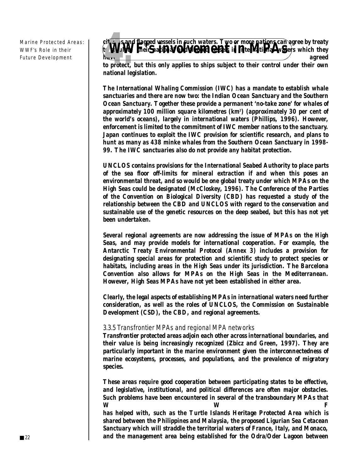Marine Protected Areas:<br>
WWF's Role in their<br>
Future Development<br> **4.** May to protect,<br>
to protect, WWF's Role in their Future Development



*to protect, but this only applies to ships subject to their control under their own national legislation.*

*The International Whaling Commission (IWC) has a mandate to establish whale sanctuaries and there are now two: the Indian Ocean Sanctuary and the Southern Ocean Sanctuary. Together these provide a permanent 'no-take zone' for whales of approximately 100 million square kilometres (km<sup>2</sup> ) (approximately 30 per cent of the world's oceans), largely in international waters (Phillips, 1996). However, enforcement is limited to the commitment of IWC member nations to the sanctuary. Japan continues to exploit the IWC provision for scientific research, and plans to hunt as many as 438 minke whales from the Southern Ocean Sanctuary in 1998- 99. The IWC sanctuaries also do not provide any habitat protection.* 

*UNCLOS contains provisions for the International Seabed Authority to place parts of the sea floor off-limits for mineral extraction if and when this poses an environmental threat, and so would be one global treaty under which MPAs on the High Seas could be designated (McCloskey, 1996). The Conference of the Parties of the Convention on Biological Diversity (CBD) has requested a study of the relationship between the CBD and UNCLOS with regard to the conservation and sustainable use of the genetic resources on the deep seabed, but this has not yet been undertaken.*

*Several regional agreements are now addressing the issue of MPAs on the High Seas, and may provide models for international cooperation. For example, the Antarctic Treaty Environmental Protocol (Annex 3) includes a provision for designating special areas for protection and scientific study to protect species or habitats, including areas in the High Seas under its jurisdiction. The Barcelona Convention also allows for MPAs on the High Seas in the Mediterranean. However, High Seas MPAs have not yet been established in either area.*

*Clearly, the legal aspects of establishing MPAs in international waters need further consideration, as well as the roles of UNCLOS, the Commission on Sustainable Development (CSD), the CBD, and regional agreements.*

#### 3.3.5 Transfrontier MPAs and regional MPA networks

*Transfrontier protected areas adjoin each other across international boundaries, and their value is being increasingly recognized (Zbicz and Green, 1997). They are particularly important in the marine environment given the interconnectedness of marine ecosystems, processes, and populations, and the prevalence of migratory* species.

*These areas require good cooperation between participating states to be effective, and legislative, institutional, and political differences are often major obstacles. Such problems have been encountered in several of the transboundary MPAs that W W F has helped with, such as the Turtle Islands Heritage Protected Area which is shared between the Philippines and Malaysia, the proposed Ligurian Sea Cetacean Sanctuary which will straddle the territorial waters of France, Italy, and Monaco, and the management area being established for the Odra/Oder Lagoon between*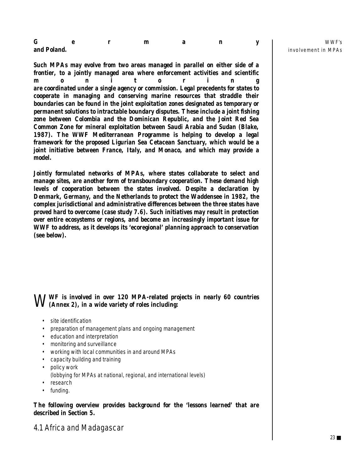| G           |  | m | <br>п<br>-- | - -<br>., |
|-------------|--|---|-------------|-----------|
| and Poland. |  |   |             |           |

*Such MPAs may evolve from two areas managed in parallel on either side of a frontier, to a jointly managed area where enforcement activities and scientific m o n i t o r i n g are coordinated under a single agency or commission. Legal precedents for states to cooperate in managing and conserving marine resources that straddle their boundaries can be found in the joint exploitation zones designated as temporary or permanent solutions to intractable boundary disputes. These include a joint fishing zone between Colombia and the Dominican Republic, and the Joint Red Sea Common Zone for mineral exploitation between Saudi Arabia and Sudan (Blake, 1987). The WWF Mediterranean Programme is helping to develop a legal framework for the proposed Ligurian Sea Cetacean Sanctuary, which would be a joint initiative between France, Italy, and Monaco, and which may provide a model.*

*Jointly formulated networks of MPAs, where states collaborate to select and manage sites, are another form of transboundary cooperation. These demand high levels of cooperation between the states involved. Despite a declaration by Denmark, Germany, and the Netherlands to protect the Waddensee in 1982, the complex jurisdictional and administrative differences between the three states have proved hard to overcome (case study 7.6). Such initiatives may result in protection over entire ecosystems or regions, and become an increasingly important issue for WWF to address, as it develops its 'ecoregional' planning approach to conservation (see below).*

## W *WF is involved in over 120 MPA-related projects in nearly 60 countries (Annex 2), in a wide variety of roles including:*

- site identification
- preparation of management plans and ongoing management
- education and interpretation
- monitoring and surveillance
- working with local communities in and around MPAs
- capacity building and training
- policy work
	- (lobbying for MPAs at national, regional, and international levels)
- research
- funding.

#### *The following overview provides background for the 'lessons learned' that are described in Section 5.*

4.1 Africa and Madagascar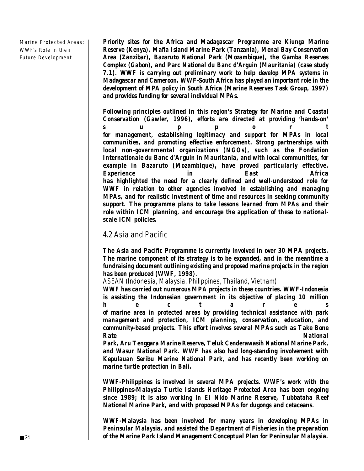*Priority sites for the Africa and Madagascar Programme are Kiunga Marine Reserve (Kenya), Mafia Island Marine Park (Tanzania), Menai Bay Conservation Area (Zanzibar), Bazaruto National Park (Mozambique), the Gamba Reserves Complex (Gabon), and Parc National du Banc d'Arguin (Mauritania) (case study 7.1). WWF is carrying out preliminary work to help develop MPA systems in Madagascar and Cameroon. WWF-South Africa has played an important role in the development of MPA policy in South Africa (Marine Reserves Task Group, 1997)* and provides funding for several individual MPAs.

*Following principles outlined in this region's Strategy for Marine and Coastal Conservation (Gawler, 1996), efforts are directed at providing 'hands-on' s u p p o r t for management, establishing legitimacy and support for MPAs in local communities, and promoting effective enforcement. Strong partnerships with local non-governmental organizations (NGOs), such as the Fondation Internationale du Banc d'Arguin in Mauritania, and with local communities, for example in Bazaruto (Mozambique), have proved particularly effective. Experience in East Africa has highlighted the need for a clearly defined and well-understood role for WWF in relation to other agencies involved in establishing and managing M PAs, and for realistic investment of time and resources in seeking community support. The programme plans to take lessons learned from MPAs and their role within ICM planning, and encourage the application of these to nationalscale ICM policies.* 

4.2 Asia and Pacific

*The Asia and Pacific Programme is currently involved in over 30 MPA projects. The marine component of its strategy is to be expanded, and in the meantime a fundraising document outlining existing and proposed marine projects in the region has been produced (WWF, 1998).*

ASEAN (Indonesia, Malaysia, Philippines, Thailand, Vietnam)

*WWF has carried out numerous MPA projects in these countries. WWF-Indonesia is assisting the Indonesian government in its objective of placing 10 million h e c t a r e s of marine area in protected areas by providing technical assistance with park management and protection, ICM planning, conservation, education, and community-based projects. This effort involves several MPAs such as Take Bone Rate* National *Rate* National *Rate* National *Rate* National *Rate* National *Rate* National *Rate* National *Rate* National *Rate* National *Rate* National *Rate* National *Rate* National *Rate* National *Rate* Natio

*Park, Aru Tenggara Marine Reserve, Teluk Cenderawasih National Marine Park, and Wasur National Park. WWF has also had long-standing involvement with Kepulauan Seribu Marine National Park, and has recently been working on marine turtle protection in Bali.*

*WWF-Philippines is involved in several MPA projects. WWF's work with the Philippines-Malaysia Turtle Islands Heritage Protected Area has been ongoing since 1989; it is also working in El Nido Marine Reserve, Tubbataha Reef National Marine Park, and with proposed MPAs for dugongs and cetaceans.* 

*WWF-Malaysia has been involved for many years in developing MPAs in Peninsular Malaysia, and assisted the Department of Fisheries in the preparation of the Marine Park Island Management Conceptual Plan for Peninsular Malaysia.*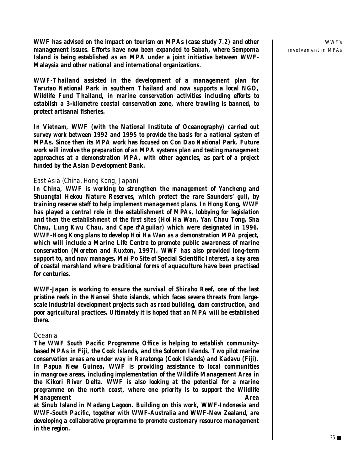*WWF has advised on the impact on tourism on MPAs (case study 7.2) and other management issues. Efforts have now been expanded to Sabah, where Semporna Island is being established as an MPA under a joint initiative between WWF-Malaysia and other national and international organizations.*

*WWF-Thailand assisted in the development of a management plan for Tarutao National Park in southern Thailand and now supports a local NGO, Wildlife Fund Thailand, in marine conservation activities including efforts to establish a 3-kilometre coastal conservation zone, where trawling is banned, to protect artisanal fisheries.* 

*In Vietnam, WWF (with the National Institute of Oceanography) carried out survey work between 1992 and 1995 to provide the basis for a national system of MPAs. Since then its MPA work has focused on Con Dao National Park. Future work will involve the preparation of an MPA systems plan and testing management approaches at a demonstration MPA, with other agencies, as part of a project funded by the Asian Development Bank.*

#### East Asia (China, Hong Kong, Japan)

*In China, WWF is working to strengthen the management of Yancheng and Shuangtai Hekou Nature Reserves, which protect the rare Saunders' gull, by training reserve staff to help implement management plans. In Hong Kong, WWF has played a central role in the establishment of MPAs, lobbying for legislation and then the establishment of the first sites (Hoi Ha Wan, Yan Chau Tong, Sha Chau, Lung Kwu Chau, and Cape d'Aguilar) which were designated in 1996. WWF-Hong Kong plans to develop Hoi Ha Wan as a demonstration MPA project, which will include a Marine Life Centre to promote public awareness of marine conservation (Moreton and Ruxton, 1997). WWF has also provided long-term support to, and now manages, Mai Po Site of Special Scientific Interest, a key area of coastal marshland where traditional forms of aquaculture have been practised for centuries.*

*WWF-Japan is working to ensure the survival of Shiraho Reef, one of the last pristine reefs in the Nansei Shoto islands, which faces severe threats from largescale industrial development projects such as road building, dam construction, and poor agricultural practices. Ultimately it is hoped that an MPA will be established there.*

#### Oceania

*The WWF South Pacific Programme Office is helping to establish communitybased MPAs in Fiji, the Cook Islands, and the Solomon Islands. Two pilot marine conservation areas are under way in Raratonga (Cook Islands) and Kadavu (Fiji). In Papua New Guinea, WWF is providing assistance to local communities in mangrove areas, including implementation of the Wildlife Management Area in the Kikori River Delta. WWF is also looking at the potential for a marine programme on the north coast, where one priority is to support the Wildlife Management Area* 

*at Sinub Island in Madang Lagoon. Building on this work, WWF-Indonesia and WWF-South Pacific, together with WWF-Australia and WWF-New Zealand, are developing a collaborative programme to promote customary resource management in the region.* 

WWF's involvement in MPAs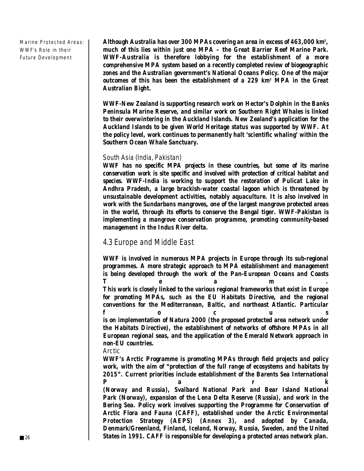*Although Australia has over 300 MPAs covering an area in excess of 463,000 km<sup>2</sup> , much of this lies within just one MPA – the Great Barrier Reef Marine Park. WWF-Australia is therefore lobbying for the establishment of a more comprehensive MPA system based on a recently completed review of biogeographic zones and the Australian government's National Oceans Policy. One of the major outcomes of this has been the establishment of a 229 km<sup>2</sup> MPA in the Great Australian Bight.*

*WWF-New Zealand is supporting research work on Hector's Dolphin in the Banks Peninsula Marine Reserve, and similar work on Southern Right Whales is linked to their overwintering in the Auckland Islands. New Zealand's application for the Auckland Islands to be given World Heritage status was supported by WWF. At the policy level, work continues to permanently halt 'scientific whaling' within the Southern Ocean Whale Sanctuary.*

#### South Asia (India, Pakistan)

*WWF has no specific MPA projects in these countries, but some of its marine conservation work is site specific and involved with protection of critical habitat and species. WWF-India is working to support the restoration of Pulicat Lake in Andhra Pradesh, a large brackish-water coastal lagoon which is threatened by unsustainable development activities, notably aquaculture. It is also involved in work with the Sundarbans mangroves, one of the largest mangrove protected areas in the world, through its efforts to conserve the Bengal tiger. WWF-Pakistan is implementing a mangrove conservation programme, promoting community-based management in the Indus River delta.*

## 4.3 Europe and Middle East

*WWF is involved in numerous MPA projects in Europe through its sub-regional programmes. A more strategic approach to MPA establishment and management is being developed through the work of the Pan-European Oceans and Coasts T e a m . This work is closely linked to the various regional frameworks that exist in Europe* for promoting MPAs, such as the EU Habitats Directive, and the regional *conventions for the Mediterranean, Baltic, and northeast Atlantic. Particular f o c u s is on implementation of Natura 2000 (the proposed protected area network under the Habitats Directive), the establishment of networks of offshore MPAs in all European regional seas, and the application of the Emerald Network approach in non-EU countries.*

#### Arctic

*WWF's Arctic Programme is promoting MPAs through field projects and policy work, with the aim of "protection of the full range of ecosystems and habitats by 2015". Current priorities include establishment of the Barents Sea International P a r k*

*(Norway and Russia), Svalbard National Park and Bear Island National Park (Norway), expansion of the Lena Delta Reserve (Russia), and work in the Bering Sea. Policy work involves supporting the Programme for Conservation of Arctic Flora and Fauna (CAFF), established under the Arctic Environmental Protection Strategy (AEPS) (Annex 3), and adopted by Canada, Denmark/Greenland, Finland, Iceland, Norway, Russia, Sweden, and the United States in 1991. CAFF is responsible for developing a protected areas network plan.*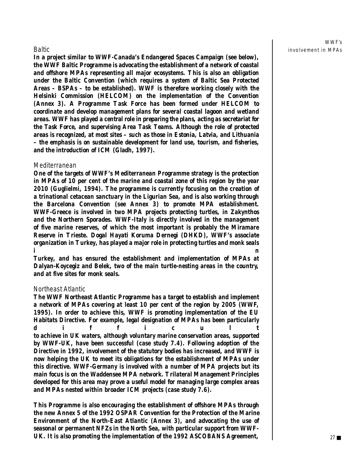#### **Baltic**

*In a project similar to WWF-Canada's Endangered Spaces Campaign (see below), the WWF Baltic Programme is advocating the establishment of a network of coastal and offshore MPAs representing all major ecosystems. This is also an obligation under the Baltic Convention (which requires a system of Baltic Sea Protected Areas – BSPAs – to be established). WWF is therefore working closely with the Helsinki Commission (HELCOM) on the implementation of the Convention (Annex 3). A Programme Task Force has been formed under HELCOM to coordinate and develop management plans for several coastal lagoon and wetland areas. WWF has played a central role in preparing the plans, acting as secretariat for the Task Force, and supervising Area Task Teams. Although the role of protected areas is recognized, at most sites – such as those in Estonia, Latvia, and Lithuania – the emphasis is on sustainable development for land use, tourism, and fisheries, and the introduction of ICM (Gladh, 1997).*

#### Mediterranean

*One of the targets of WWF's Mediterranean Programme strategy is the protection in MPAs of 10 per cent of the marine and coastal zone of this region by the year 2010 (Guglielmi, 1994). The programme is currently focusing on the creation of a trinational cetacean sanctuary in the Ligurian Sea, and is also working through the Barcelona Convention (see Annex 3) to promote MPA establishment. WWF-Greece is involved in two MPA projects protecting turtles, in Zakynthos and the Northern Sporades. WWF-Italy is directly involved in the management of five marine reserves, of which the most important is probably the Miramare Reserve in Trieste. Dogal Hayati Koruma Dernegi (DHKD), WWF's associate organization in Turkey, has played a major role in protecting turtles and monk seals i n*

*Turkey, and has ensured the establishment and implementation of MPAs at Dalyan-Koycegiz and Belek, two of the main turtle-nesting areas in the country, and at five sites for monk seals.*

#### Northeast Atlantic

*The WWF Northeast Atlantic Programme has a target to establish and implement a network of MPAs covering at least 10 per cent of the region by 2005 (WWF, 1995). In order to achieve this, WWF is promoting implementation of the EU Habitats Directive. For example, legal designation of MPAs has been particularly d i f f i c u l t to achieve in UK waters, although voluntary marine conservation areas, supported by WWF-UK, have been successful (case study 7.4). Following adoption of the Directive in 1992, involvement of the statutory bodies has increased, and WWF is now helping the UK to meet its obligations for the establishment of MPAs under this directive. WWF-Germany is involved with a number of MPA projects but its main focus is on the Waddensee MPA network. Trilateral Management Principles developed for this area may prove a useful model for managing large complex areas and MPAs nested within broader ICM projects (case study 7.6).*

*This Programme is also encouraging the establishment of offshore MPAs through the new Annex 5 of the 1992 OSPAR Convention for the Protection of the Marine Environment of the North-East Atlantic (Annex 3), and advocating the use of seasonal or permanent NFZs in the North Sea, with particular support from WWF-UK. It is also promoting the implementation of the 1992 ASCOBANS Agreement,*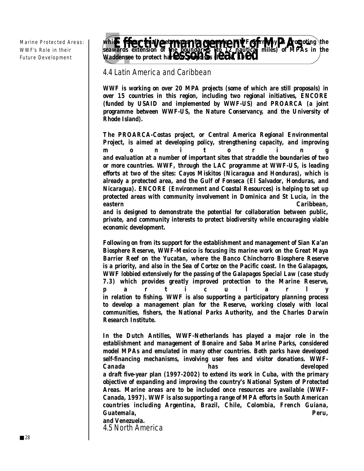

4.4 Latin America and Caribbean

*WWF is working on over 20 MPA projects (some of which are still proposals) in over 15 countries in this region, including two regional initiatives, ENCORE (funded by USAID and implemented by WWF-US) and PROARCA (a joint programme between WWF-US, the Nature Conservancy, and the University of Rhode Island).*

*The PROARCA-Costas project, or Central America Regional Environmental Project, is aimed at developing policy, strengthening capacity, and improving m o n i t o r i n g and evaluation at a number of important sites that straddle the boundaries of two or more countries. WWF, through the LAC programme at WWF-US, is leading efforts at two of the sites: Cayos Miskitos (Nicaragua and Honduras), which is already a protected area, and the Gulf of Fonseca (El Salvador, Honduras, and Nicaragua). ENCORE (Environment and Coastal Resources) is helping to set up protected areas with community involvement in Dominica and St Lucia, in the eastern Caribbean,* 

*and is designed to demonstrate the potential for collaboration between public, private, and community interests to protect biodiversity while encouraging viable economic development.*

*Following on from its support for the establishment and management of Sian Ka'an Biosphere Reserve, WWF-Mexico is focusing its marine work on the Great Maya Barrier Reef on the Yucatan, where the Banco Chinchorro Biosphere Reserve is a priority, and also in the Sea of Cortez on the Pacific coast. In the Galapagos, WWF lobbied extensively for the passing of the Galapagos Special Law (case study 7.3) which provides greatly improved protection to the Marine Reserve, p a r t i c u l a r l y in relation to fishing. WWF is also supporting a participatory planning process to develop a management plan for the Reserve, working closely with local communities, fishers, the National Parks Authority, and the Charles Darwin Research Institute.* 

*In the Dutch Antilles, WWF-Netherlands has played a major role in the establishment and management of Bonaire and Saba Marine Parks, considered model MPAs and emulated in many other countries. Both parks have developed self-financing mechanisms, involving user fees and visitor donations. WWF-Canada has developed a draft five-year plan (1997-2002) to extend its work in Cuba, with the primary objective of expanding and improving the country's National System of Protected Areas. Marine areas are to be included once resources are available (WWF-Canada, 1997). WWF is also supporting a range of MPA efforts in South American countries including Argentina, Brazil, Chile, Colombia, French Guiana, Guatemala, Peru, and Venezuela.* 

4.5 North America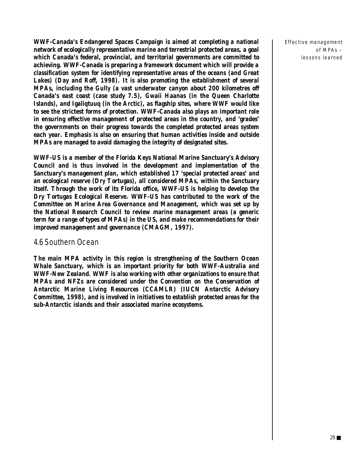*WWF-Canada's Endangered Spaces Campaign is aimed at completing a national network of ecologically representative marine and terrestrial protected areas, a goal which Canada's federal, provincial, and territorial governments are committed to achieving. WWF-Canada is preparing a framework document which will provide a classification system for identifying representative areas of the oceans (and Great Lakes) (Day and Roff, 1998). It is also promoting the establishment of several MPAs, including the Gully (a vast underwater canyon about 200 kilometres off Canada's east coast (case study 7.5), Gwaii Haanas (in the Queen Charlotte Islands), and Igaliqtuuq (in the Arctic), as flagship sites, where WWF would like to see the strictest forms of protection. WWF-Canada also plays an important role in ensuring effective management of protected areas in the country, and 'grades' the governments on their progress towards the completed protected areas system each year. Emphasis is also on ensuring that human activities inside and outside MPAs are managed to avoid damaging the integrity of designated sites.*

*WWF-US is a member of the Florida Keys National Marine Sanctuary's Advisory Council and is thus involved in the development and implementation of the Sanctuary's management plan, which established 17 'special protected areas' and an ecological reserve (Dry Tortugas), all considered MPAs, within the Sanctuary itself. Through the work of its Florida office, WWF-US is helping to develop the Dry Tortugas Ecological Reserve. WWF-US has contributed to the work of the Committee on Marine Area Governance and Management, which was set up by the National Research Council to review marine management areas (a generic term for a range of types of MPAs) in the US, and make recommendations for their improved management and governance (CMAGM, 1997).*

#### 4.6 Southern Ocean

*The main MPA activity in this region is strengthening of the Southern Ocean Whale Sanctuary, which is an important priority for both WWF-Australia and WWF-New Zealand. WWF is also working with other organizations to ensure that MPAs and NFZs are considered under the Convention on the Conservation of Antarctic Marine Living Resources (CCAMLR) (IUCN Antarctic Advisory Committee, 1998), and is involved in initiatives to establish protected areas for the sub-Antarctic islands and their associated marine ecosystems.*

Effective management of MPAs lessons learned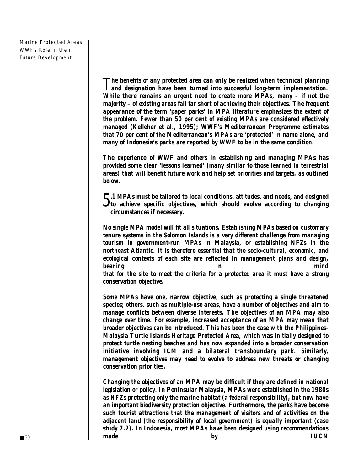> $\prod_{n=1}^{\infty}$ *he benefits of any protected area can only be realized when technical planning and designation have been turned into successful long-term implementation. While there remains an urgent need to create more MPAs, many – if not the majority – of existing areas fall far short of achieving their objectives. The frequent appearance of the term 'paper parks' in MPA literature emphasizes the extent of the problem. Fewer than 50 per cent of existing MPAs are considered effectively managed (Kelleher et al., 1995); WWF's Mediterranean Programme estimates that 70 per cent of the Mediterranean's MPAs are 'protected' in name alone, and many of Indonesia's parks are reported by WWF to be in the same condition.*

> *The experience of WWF and others in establishing and managing MPAs has provided some clear 'lessons learned' (many similar to those learned in terrestrial areas) that will benefit future work and help set priorities and targets, as outlined below.*

> 5 **.1 MPAs must be tailored to local conditions, attitudes, and needs, and designed to achieve specific objectives, which should evolve according to changing circumstances if necessary.**

> *No single MPA model will fit all situations. Establishing MPAs based on customary tenure systems in the Solomon Islands is a very different challenge from managing tourism in government-run MPAs in Malaysia, or establishing NFZs in the northeast Atlantic. It is therefore essential that the socio-cultural, economic, and ecological contexts of each site are reflected in management plans and design, bearing in mind that for the site to meet the criteria for a protected area it must have a strong conservation objective.*

> *Some MPAs have one, narrow objective, such as protecting a single threatened species; others, such as multiple-use areas, have a number of objectives and aim to manage conflicts between diverse interests. The objectives of an MPA may also change over time. For example, increased acceptance of an MPA may mean that broader objectives can be introduced. This has been the case with the Philippines-Malaysia Turtle Islands Heritage Protected Area, which was initially designed to protect turtle nesting beaches and has now expanded into a broader conservation initiative involving ICM and a bilateral transboundary park. Similarly, management objectives may need to evolve to address new threats or changing conservation priorities.*

> *Changing the objectives of an MPA may be difficult if they are defined in national legislation or policy. In Peninsular Malaysia, MPAs were established in the 1980s as NFZs protecting only the marine habitat (a federal responsibility), but now have an important biodiversity protection objective. Furthermore, the parks have become such tourist attractions that the management of visitors and of activities on the adjacent land (the responsibility of local government) is equally important (case study 7.2). In Indonesia, most MPAs have been designed using recommendations made by IUCN*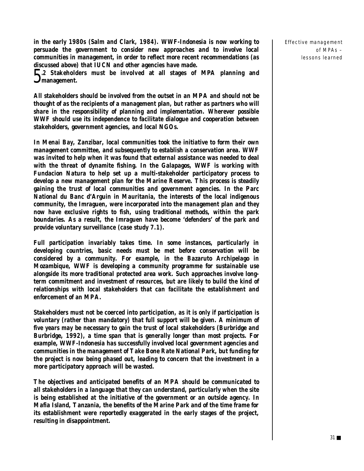*in the early 1980s (Salm and Clark, 1984). WWF-Indonesia is now working to persuade the government to consider new approaches and to involve local communities in management, in order to reflect more recent recommendations (as discussed above) that IUCN and other agencies have made.*

5 **.2 Stakeholders must be involved at all stages of MPA planning and management.**

*All stakeholders should be involved from the outset in an MPA and should not be thought of as the recipients of a management plan, but rather as partners who will share in the responsibility of planning and implementation. Wherever possible WWF should use its independence to facilitate dialogue and cooperation between stakeholders, government agencies, and local NGOs.*

*In Menai Bay, Zanzibar, local communities took the initiative to form their own management committee, and subsequently to establish a conservation area. WWF was invited to help when it was found that external assistance was needed to deal with the threat of dynamite fishing. In the Galapagos, WWF is working with Fundacion Natura to help set up a multi-stakeholder participatory process to develop a new management plan for the Marine Reserve. This process is steadily gaining the trust of local communities and government agencies. In the Parc National du Banc d'Arguin in Mauritania, the interests of the local indigenous community, the Imraguen, were incorporated into the management plan and they now have exclusive rights to fish, using traditional methods, within the park boundaries. As a result, the Imraguen have become 'defenders' of the park and provide voluntary surveillance (case study 7.1).*

*Full participation invariably takes time. In some instances, particularly in developing countries, basic needs must be met before conservation will be considered by a community. For example, in the Bazaruto Archipelago in Mozambique, WWF is developing a community programme for sustainable use alongside its more traditional protected area work. Such approaches involve longterm commitment and investment of resources, but are likely to build the kind of relationships with local stakeholders that can facilitate the establishment and enforcement of an MPA.*

*Stakeholders must not be coerced into participation, as it is only if participation is voluntary (rather than mandatory) that full support will be given. A minimum of five years may be necessary to gain the trust of local stakeholders (Burbridge and Burbridge, 1992), a time span that is generally longer than most projects. For example, WWF-Indonesia has successfully involved local government agencies and communities in the management of Take Bone Rate National Park, but funding for the project is now being phased out, leading to concern that the investment in a more participatory approach will be wasted.*

*The objectives and anticipated benefits of an MPA should be communicated to all stakeholders in a language that they can understand, particularly when the site is being established at the initiative of the government or an outside agency. In Mafia Island, Tanzania, the benefits of the Marine Park and of the time frame for its establishment were reportedly exaggerated in the early stages of the project, resulting in disappointment.*

Effective management of MPAs lessons learned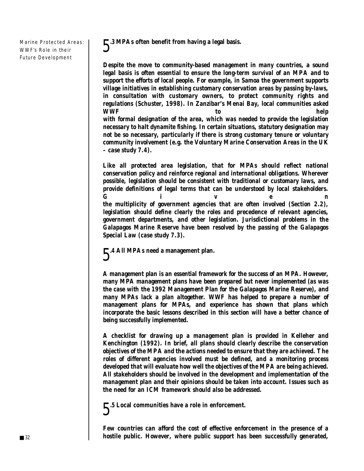5 **.3 MPAs often benefit from having a legal basis.**

*Despite the move to community-based management in many countries, a sound legal basis is often essential to ensure the long-term survival of an MPA and to support the efforts of local people. For example, in Samoa the government supports village initiatives in establishing customary conservation areas by passing by-laws, in consultation with customary owners, to protect community rights and regulations (Schuster, 1998). In Zanzibar's Menai Bay, local communities asked WWF to help with formal designation of the area, which was needed to provide the legislation necessary to halt dynamite fishing. In certain situations, statutory designation may not be so necessary, particularly if there is strong customary tenure or voluntary community involvement (e.g. the Voluntary Marine Conservation Areas in the UK – case study 7.4).*

*Like all protected area legislation, that for MPAs should reflect national conservation policy and reinforce regional and international obligations. Wherever possible, legislation should be consistent with traditional or customary laws, and provide definitions of legal terms that can be understood by local stakeholders. G i v e n the multiplicity of government agencies that are often involved (Section 2.2), legislation should define clearly the roles and precedence of relevant agencies, government departments, and other legislation. Jurisdictional problems in the Galapagos Marine Reserve have been resolved by the passing of the Galapagos Special Law (case study 7.3).*

5 **.4 All MPAs need a management plan.**

*A management plan is an essential framework for the success of an MPA. However, many MPA management plans have been prepared but never implemented (as was the case with the 1992 Management Plan for the Galapagos Marine Reserve), and many MPAs lack a plan altogether. WWF has helped to prepare a number of management plans for MPAs, and experience has shown that plans which incorporate the basic lessons described in this section will have a better chance of being successfully implemented.*

*A checklist for drawing up a management plan is provided in Kelleher and Kenchington (1992). In brief, all plans should clearly describe the conservation objectives of the MPA and the actions needed to ensure that they are achieved. The roles of different agencies involved must be defined, and a monitoring process developed that will evaluate how well the objectives of the MPA are being achieved. All stakeholders should be involved in the development and implementation of the management plan and their opinions should be taken into account. Issues such as the need for an ICM framework should also be addressed.*

5 **.5 Local communities have a role in enforcement.**

*Few countries can afford the cost of effective enforcement in the presence of a hostile public. However, where public support has been successfully generated,*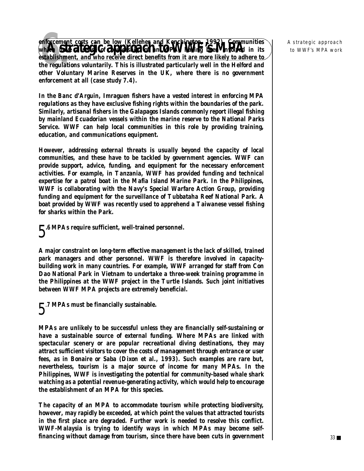**enforcement costs can be low (Kelleher and Kenchington 1992). Communities** A strategic approach work

enforcement costs can be low (Kelleher and Kenchington, 1992). Communities<br>which **Standard Concerns to the Concernsity of the Stablishment**, and who receive direct benefits from it are more likely to adhere to<br>the regulati *establishment, and who receive direct benefits from it are more likely to adhere to the regulations voluntarily. This is illustrated particularly well in the Helford and other Voluntary Marine Reserves in the UK, where there is no government enforcement at all (case study 7.4).* 

*In the Banc d'Arguin, Imraguen fishers have a vested interest in enforcing MPA regulations as they have exclusive fishing rights within the boundaries of the park. Similarly, artisanal fishers in the Galapagos Islands commonly report illegal fishing by mainland Ecuadorian vessels within the marine reserve to the National Parks Service. WWF can help local communities in this role by providing training, education, and communications equipment.* 

*However, addressing external threats is usually beyond the capacity of local communities, and these have to be tackled by government agencies. WWF can provide support, advice, funding, and equipment for the necessary enforcement activities. For example, in Tanzania, WWF has provided funding and technical expertise for a patrol boat in the Mafia Island Marine Park. In the Philippines, WWF is collaborating with the Navy's Special Warfare Action Group, providing funding and equipment for the surveillance of Tubbataha Reef National Park. A boat provided by WWF was recently used to apprehend a Taiwanese vessel fishing for sharks within the Park.* 

5 **.6 MPAs require sufficient, well-trained personnel.**

*A major constraint on long-term effective management is the lack of skilled, trained park managers and other personnel. WWF is therefore involved in capacitybuilding work in many countries. For example, WWF arranged for staff from Con Dao National Park in Vietnam to undertake a three-week training programme in the Philippines at the WWF project in the Turtle Islands. Such joint initiatives between WWF MPA projects are extremely beneficial.*

5 .**7 MPAs must be financially sustainable.**

*MPAs are unlikely to be successful unless they are financially self-sustaining or have a sustainable source of external funding. Where MPAs are linked with spectacular scenery or are popular recreational diving destinations, they may attract sufficient visitors to cover the costs of management through entrance or user fees, as in Bonaire or Saba (Dixon et al., 1993). Such examples are rare but, nevertheless, tourism is a major source of income for many MPAs. In the Philippines, WWF is investigating the potential for community-based whale shark watching as a potential revenue-generating activity, which would help to encourage the establishment of an MPA for this species.*

*The capacity of an MPA to accommodate tourism while protecting biodiversity, however, may rapidly be exceeded, at which point the values that attracted tourists in the first place are degraded. Further work is needed to resolve this conflict. WWF-Malaysia is trying to identify ways in which MPAs may become selffinancing without damage from tourism, since there have been cuts in government*

to WWF's MPA work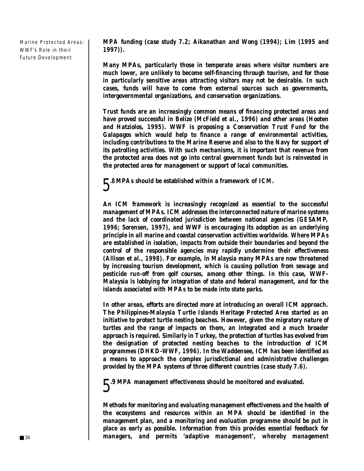*MPA funding (case study 7.2; Aikanathan and Wong (1994); Lim (1995 and 1997)).*

*Many MPAs, particularly those in temperate areas where visitor numbers are much lower, are unlikely to become self-financing through tourism, and for those in particularly sensitive areas attracting visitors may not be desirable. In such cases, funds will have to come from external sources such as governments, intergovernmental organizations, and conservation organizations.* 

*Trust funds are an increasingly common means of financing protected areas and have proved successful in Belize (McField et al., 1996) and other areas (Hooten and Hatziolos, 1995). WWF is proposing a Conservation Trust Fund for the Galapagos which would help to finance a range of environmental activities, including contributions to the Marine Reserve and also to the Navy for support of its patrolling activities. With such mechanisms, it is important that revenue from the protected area does not go into central government funds but is reinvested in the protected area for management or support of local communities.*

5 **.8 MPAs should be established within a framework of ICM.**

*An ICM framework is increasingly recognized as essential to the successful management of MPAs. ICM addresses the interconnected nature of marine systems and the lack of coordinated jurisdiction between national agencies (GESAMP, 1996; Sorensen, 1997), and WWF is encouraging its adoption as an underlying principle in all marine and coastal conservation activities worldwide. Where MPAs are established in isolation, impacts from outside their boundaries and beyond the control of the responsible agencies may rapidly undermine their effectiveness (Allison et al., 1998). For example, in Malaysia many MPAs are now threatened by increasing tourism development, which is causing pollution from sewage and pesticide run-off from golf courses, among other things. In this case, WWF-Malaysia is lobbying for integration of state and federal management, and for the islands associated with MPAs to be made into state parks.* 

*In other areas, efforts are directed more at introducing an overall ICM approach. The Philippines-Malaysia Turtle Islands Heritage Protected Area started as an initiative to protect turtle nesting beaches. However, given the migratory nature of turtles and the range of impacts on them, an integrated and a much broader approach is required. Similarly in Turkey, the protection of turtles has evolved from the designation of protected nesting beaches to the introduction of ICM programmes (DHKD-WWF, 1996). In the Waddensee, ICM has been identified as a means to approach the complex jurisdictional and administrative challenges provided by the MPA systems of three different countries (case study 7.6).*

5 **.9 MPA management effectiveness should be monitored and evaluated.**

*Methods for monitoring and evaluating management effectiveness and the health of the ecosystems and resources within an MPA should be identified in the management plan, and a monitoring and evaluation programme should be put in place as early as possible. Information from this provides essential feedback for managers, and permits 'adaptive management', whereby management*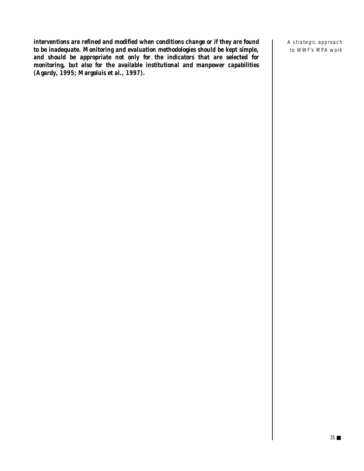*interventions are refined and modified when conditions change or if they are found to be inadequate. Monitoring and evaluation methodologies should be kept simple, and should be appropriate not only for the indicators that are selected for monitoring, but also for the available institutional and manpower capabilities (Agardy, 1995; Margoluis et al., 1997).*

A strategic approach to WWF's MPA work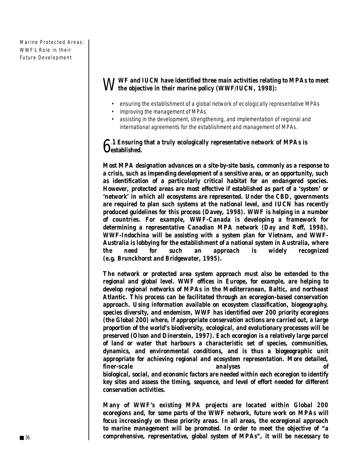## W *the objective in their marine policy (WWF/IUCN, 1998): WF and IUCN have identified three main activities relating to MPAs to meet*

- ensuring the establishment of a global network of ecologically representative MPAs
- improving the management of MPAs
- assisting in the development, strengthening, and implementation of regional and international agreements for the establishment and management of MPAs.

## $6$ <sup>.1</sup> Ensuring<br>established. .**1 Ensuring that a truly ecologically representative network of MPAs is**

*Most MPA designation advances on a site-by-site basis, commonly as a response to a crisis, such as impending development of a sensitive area, or an opportunity, such as identification of a particularly critical habitat for an endangered species. However, protected areas are most effective if established as part of a 'system' or 'network' in which all ecosystems are represented. Under the CBD, governments are required to plan such systems at the national level, and IUCN has recently produced guidelines for this process (Davey, 1998). WWF is helping in a number of countries. For example, WWF-Canada is developing a framework for determining a representative Canadian MPA network (Day and Roff, 1998). WWF-Indochina will be assisting with a system plan for Vietnam, and WWF-Australia is lobbying for the establishment of a national system in Australia, where the need for such an approach is widely recognized (e.g. Brunckhorst and Bridgewater, 1995).*

*The network or protected area system approach must also be extended to the regional and global level. WWF offices in Europe, for example, are helping to develop regional networks of MPAs in the Mediterranean, Baltic, and northeast Atlantic. This process can be facilitated through an ecoregion-based conservation approach. Using information available on ecosystem classification, biogeography, species diversity, and endemism, WWF has identified over 200 priority ecoregions (the Global 200) where, if appropriate conservation actions are carried out, a large proportion of the world's biodiversity, ecological, and evolutionary processes will be preserved (Olson and Dinerstein, 1997). Each ecoregion is a relatively large parcel of land or water that harbours a characteristic set of species, communities, dynamics, and environmental conditions, and is thus a biogeographic unit appropriate for achieving regional and ecosystem representation. More detailed, finer-scale* analyses of *analyses* of *biological, social, and economic factors are needed within each ecoregion to identify key sites and assess the timing, sequence, and level of effort needed for different conservation activities.*

*Many of WWF's existing MPA projects are located within Global 200 ecoregions and, for some parts of the WWF network, future work on MPAs will focus increasingly on these priority areas. In all areas, the ecoregional approach to marine management will be promoted. In order to meet the objective of "a comprehensive, representative, global system of MPAs", it will be necessary to*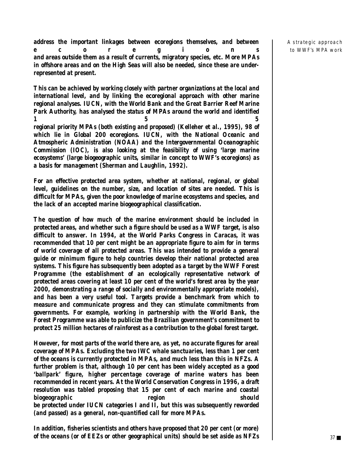*address the important linkages between ecoregions themselves, and between e c o r e g i o n s and areas outside them as a result of currents, migratory species, etc. More MPAs in offshore areas and on the High Seas will also be needed, since these are underrepresented at present.* 

*This can be achieved by working closely with partner organizations at the local and international level, and by linking the ecoregional approach with other marine regional analyses. IUCN, with the World Bank and the Great Barrier Reef Marine Park Authority, has analysed the status of MPAs around the world and identified 1 5 5 regional priority MPAs (both existing and proposed) (Kelleher et al., 1995), 98 of which lie in Global 200 ecoregions. IUCN, with the National Oceanic and Atmospheric Administration (NOAA) and the Intergovernmental Oceanographic Commission (IOC), is also looking at the feasibility of using 'large marine ecosystems' (large biogeographic units, similar in concept to WWF's ecoregions) as a basis for management (Sherman and Laughlin, 1992).*

*For an effective protected area system, whether at national, regional, or global level, guidelines on the number, size, and location of sites are needed. This is difficult for MPAs, given the poor knowledge of marine ecosystems and species, and the lack of an accepted marine biogeographical classification.* 

*The question of how much of the marine environment should be included in protected areas, and whether such a figure should be used as a WWF target, is also difficult to answer. In 1994, at the World Parks Congress in Caracas, it was recommended that 10 per cent might be an appropriate figure to aim for in terms of world coverage of all protected areas. This was intended to provide a general guide or minimum figure to help countries develop their national protected area systems. This figure has subsequently been adopted as a target by the WWF Forest Programme (the establishment of an ecologically representative network of protected areas covering at least 10 per cent of the world's forest area by the year 2000, demonstrating a range of socially and environmentally appropriate models), and has been a very useful tool. Targets provide a benchmark from which to measure and communicate progress and they can stimulate commitments from governments. For example, working in partnership with the World Bank, the Forest Programme was able to publicize the Brazilian government's commitment to protect 25 million hectares of rainforest as a contribution to the global forest target.*

*However, for most parts of the world there are, as yet, no accurate figures for areal coverage of MPAs. Excluding the two IWC whale sanctuaries, less than 1 per cent of the oceans is currently protected in MPAs, and much less than this in NFZs. A further problem is that, although 10 per cent has been widely accepted as a good 'ballpark' figure, higher percentage coverage of marine waters has been recommended in recent years. At the World Conservation Congress in 1996, a draft resolution was tabled proposing that 15 per cent of each marine and coastal biogeographic region should be protected under IUCN categories I and II, but this was subsequently reworded (and passed) as a general, non-quantified call for more MPAs.* 

*In addition, fisheries scientists and others have proposed that 20 per cent (or more) of the oceans (or of EEZs or other geographical units) should be set aside as NFZs*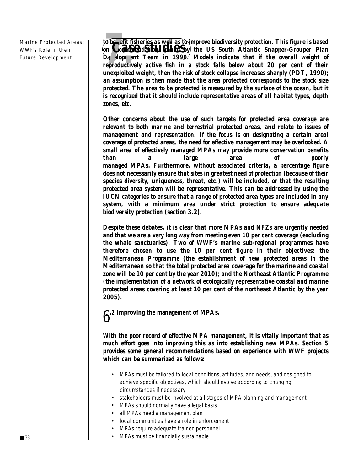Marine Protected Areas:<br>
WWF's Role in their<br> **Future Development**<br> **7.** Marine Sevelopment<br> **7. Productive Productive** WWF's Role in their Future Development

*to be* efit fisheries as well as to improve biodiversity protection. This figure is based *to be ent usheries as well as to improve biodiversity protection. I his ngure is based* on **Cears Changes** on **Cears Changes**  $\alpha$  is  $\alpha$  is  $\alpha$  is  $\alpha$  is  $\alpha$  is  $\alpha$  is  $\alpha$  is  $\alpha$  is  $\alpha$  is  $\alpha$  is  $\alpha$  is  $\alpha$  is *Development Team in 1990. Models indicate that if the overall weight of reproductively active fish in a stock falls below about 20 per cent of their unexploited weight, then the risk of stock collapse increases sharply (PDT, 1990); an assumption is then made that the area protected corresponds to the stock size protected. The area to be protected is measured by the surface of the ocean, but it is recognized that it should include representative areas of all habitat types, depth zones, etc.*

*Other concerns about the use of such targets for protected area coverage are relevant to both marine and terrestrial protected areas, and relate to issues of management and representation.* If the focus is on designating a certain areal *coverage of protected areas, the need for effective management may be overlooked. A small area of effectively managed MPAs may provide more conservation benefits than a large area of poorly managed MPAs. Furthermore, without associated criteria, a percentage figure does not necessarily ensure that sites in greatest need of protection (because of their species diversity, uniqueness, threat, etc.) will be included, or that the resulting protected area system will be representative. This can be addressed by using the IUCN categories to ensure that a range of protected area types are included in any system, with a minimum area under strict protection to ensure adequate biodiversity protection (section 3.2).*

*Despite these debates, it is clear that more MPAs and NFZs are urgently needed and that we are a very long way from meeting even 10 per cent coverage (excluding the whale sanctuaries). Two of WWF's marine sub-regional programmes have therefore chosen to use the 10 per cent figure in their objectives: the Mediterranean Programme (the establishment of new protected areas in the Mediterranean so that the total protected area coverage for the marine and coastal zone will be 10 per cent by the year 2010); and the Northeast Atlantic Programme (the implementation of a network of ecologically representative coastal and marine protected areas covering at least 10 per cent of the northeast Atlantic by the year 2005).*

6 **.2 Improving the management of MPAs.**

*With the poor record of effective MPA management, it is vitally important that as much effort goes into improving this as into establishing new MPAs. Section 5 provides some general recommendations based on experience with WWF projects which can be summarized as follows:*

- MPAs must be tailored to local conditions, attitudes, and needs, and designed to achieve specific objectives, which should evolve according to changing circumstances if necessary
- stakeholders must be involved at all stages of MPA planning and management
- MPAs should normally have a legal basis
- all MPAs need a management plan
- local communities have a role in enforcement
- MPAs require adequate trained personnel
- MPAs must be financially sustainable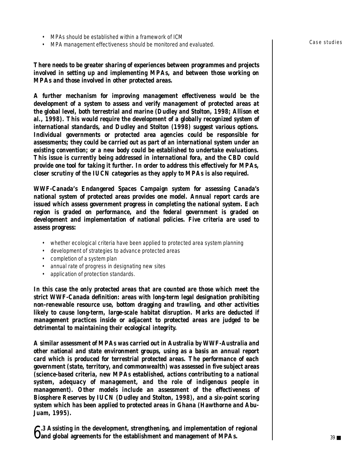- MPAs should be established within a framework of ICM
- MPA management effectiveness should be monitored and evaluated.

*There needs to be greater sharing of experiences between programmes and projects involved in setting up and implementing MPAs, and between those working on MPAs and those involved in other protected areas.*

*A further mechanism for improving management effectiveness would be the development of a system to assess and verify management of protected areas at the global level, both terrestrial and marine (Dudley and Stolton, 1998; Allison et al., 1998). This would require the development of a globally recognized system of international standards, and Dudley and Stolton (1998) suggest various options. Individual governments or protected area agencies could be responsible for assessments; they could be carried out as part of an international system under an existing convention; or a new body could be established to undertake evaluations. This issue is currently being addressed in international fora, and the CBD could provide one tool for taking it further. In order to address this effectively for MPAs, closer scrutiny of the IUCN categories as they apply to MPAs is also required.*

*WWF-Canada's Endangered Spaces Campaign system for assessing Canada's national system of protected areas provides one model. Annual report cards are issued which assess government progress in completing the national system. Each region is graded on performance, and the federal government is graded on development and implementation of national policies. Five criteria are used to assess progress:*

- whether ecological criteria have been applied to protected area system planning
- development of strategies to advance protected areas
- completion of a system plan
- annual rate of progress in designating new sites
- application of protection standards.

*In this case the only protected areas that are counted are those which meet the strict WWF-Canada definition: areas with long-term legal designation prohibiting non-renewable resource use, bottom dragging and trawling, and other activities likely to cause long-term, large-scale habitat disruption. Marks are deducted if management practices inside or adjacent to protected areas are judged to be detrimental to maintaining their ecological integrity.*

*A similar assessment of MPAs was carried out in Australia by WWF-Australia and other national and state environment groups, using as a basis an annual report card which is produced for terrestrial protected areas. The performance of each government (state, territory, and commonwealth) was assessed in five subject areas (science-based criteria, new MPAs established, actions contributing to a national system, adequacy of management, and the role of indigenous people in management). Other models include an assessment of the effectiveness of Biosphere Reserves by IUCN (Dudley and Stolton, 1998), and a six-point scoring system which has been applied to protected areas in Ghana (Hawthorne and Abu-Juam, 1995).*

6 **and global agreements for the establishment and management of MPAs..3 Assisting in the development, strengthening, and implementation of regional**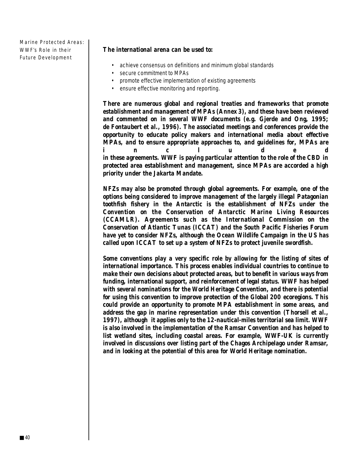#### *The international arena can be used to:*

- achieve consensus on definitions and minimum global standards
- secure commitment to MPAs
- promote effective implementation of existing agreements
- ensure effective monitoring and reporting.

*There are numerous global and regional treaties and frameworks that promote establishment and management of MPAs (Annex 3), and these have been reviewed and commented on in several WWF documents (e.g. Gjerde and Ong, 1995; de Fontaubert et al., 1996). The associated meetings and conferences provide the opportunity to educate policy makers and international media about effective MPAs, and to ensure appropriate approaches to, and guidelines for, MPAs are i n c l u d e d in these agreements. WWF is paying particular attention to the role of the CBD in protected area establishment and management, since MPAs are accorded a high priority under the Jakarta Mandate.*

*NFZs may also be promoted through global agreements. For example, one of the options being considered to improve management of the largely illegal Patagonian toothfish fishery in the Antarctic is the establishment of NFZs under the Convention on the Conservation of Antarctic Marine Living Resources (CCAMLR). Agreements such as the International Commission on the Conservation of Atlantic Tunas (ICCAT) and the South Pacific Fisheries Forum have yet to consider NFZs, although the Ocean Wildlife Campaign in the US has called upon ICCAT to set up a system of NFZs to protect juvenile swordfish.*

*Some conventions play a very specific role by allowing for the listing of sites of international importance. This process enables individual countries to continue to make their own decisions about protected areas, but to benefit in various ways from funding, international support, and reinforcement of legal status. WWF has helped with several nominations for the World Heritage Convention, and there is potential for using this convention to improve protection of the Global 200 ecoregions. This could provide an opportunity to promote MPA establishment in some areas, and address the gap in marine representation under this convention (Thorsell et al., 1997), although it applies only to the 12-nautical-miles territorial sea limit. WWF is also involved in the implementation of the Ramsar Convention and has helped to list wetland sites, including coastal areas. For example, WWF-UK is currently involved in discussions over listing part of the Chagos Archipelago under Ramsar, and in looking at the potential of this area for World Heritage nomination.*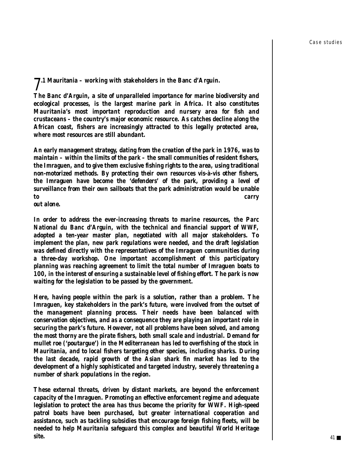7 **.1 Mauritania – working with stakeholders in the Banc d'Arguin.**

*The Banc d'Arguin, a site of unparalleled importance for marine biodiversity and ecological processes, is the largest marine park in Africa. It also constitutes Mauritania's most important reproduction and nursery area for fish and crustaceans – the country's major economic resource. As catches decline along the African coast, fishers are increasingly attracted to this legally protected area, where most resources are still abundant.*

*An early management strategy, dating from the creation of the park in 1976, was to maintain – within the limits of the park – the small communities of resident fishers, the Imraguen, and to give them exclusive fishing rights to the area, using traditional non-motorized methods. By protecting their own resources vis-à-vis other fishers, the Imraguen have become the 'defenders' of the park, providing a level of surveillance from their own sailboats that the park administration would be unable to carry* 

*out alone.*

*In order to address the ever-increasing threats to marine resources, the Parc National du Banc d'Arguin, with the technical and financial support of WWF, adopted a ten-year master plan, negotiated with all major stakeholders. To implement the plan, new park regulations were needed, and the draft legislation was defined directly with the representatives of the Imraguen communities during a three-day workshop. One important accomplishment of this participatory planning was reaching agreement to limit the total number of Imraguen boats to 100, in the interest of ensuring a sustainable level of fishing effort. The park is now waiting for the legislation to be passed by the government.* 

*Here, having people within the park is a solution, rather than a problem. The Imraguen, key stakeholders in the park's future, were involved from the outset of the management planning process. Their needs have been balanced with conservation objectives, and as a consequence they are playing an important role in securing the park's future. However, not all problems have been solved, and among the most thorny are the pirate fishers, both small scale and industrial. Demand for mullet roe ('poutargue') in the Mediterranean has led to overfishing of the stock in Mauritania, and to local fishers targeting other species, including sharks. During the last decade, rapid growth of the Asian shark fin market has led to the development of a highly sophisticated and targeted industry, severely threatening a number of shark populations in the region.*

*These external threats, driven by distant markets, are beyond the enforcement capacity of the Imraguen. Promoting an effective enforcement regime and adequate legislation to protect the area has thus become the priority for WWF. High-speed patrol boats have been purchased, but greater international cooperation and assistance, such as tackling subsidies that encourage foreign fishing fleets, will be needed to help Mauritania safeguard this complex and beautiful World Heritage site.*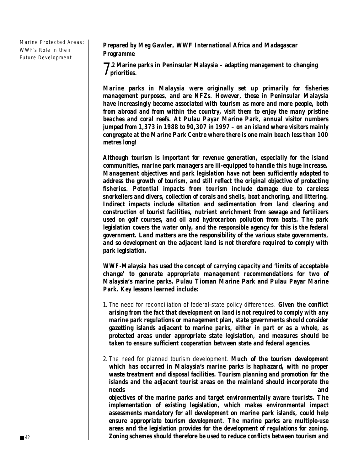*Prepared by Meg Gawler, WWF International Africa and Madagascar Programme*

7 **priorities. .2 Marine parks in Peninsular Malaysia – adapting management to changing**

*Marine parks in Malaysia were originally set up primarily for fisheries management purposes, and are NFZs. However, those in Peninsular Malaysia have increasingly become associated with tourism as more and more people, both from abroad and from within the country, visit them to enjoy the many pristine beaches and coral reefs. At Pulau Payar Marine Park, annual visitor numbers jumped from 1,373 in 1988 to 90,307 in 1997 – on an island where visitors mainly congregate at the Marine Park Centre where there is one main beach less than 100 metres long!* 

*Although tourism is important for revenue generation, especially for the island communities, marine park managers are ill-equipped to handle this huge increase. Management objectives and park legislation have not been sufficiently adapted to address the growth of tourism, and still reflect the original objective of protecting fisheries. Potential impacts from tourism include damage due to careless snorkellers and divers, collection of corals and shells, boat anchoring, and littering. Indirect impacts include siltation and sedimentation from land clearing and construction of tourist facilities, nutrient enrichment from sewage and fertilizers used on golf courses, and oil and hydrocarbon pollution from boats. The park legislation covers the water only, and the responsible agency for this is the federal government. Land matters are the responsibility of the various state governments, and so development on the adjacent land is not therefore required to comply with park legislation.*

*WWF-Malaysia has used the concept of carrying capacity and 'limits of acceptable change' to generate appropriate management recommendations for two of Malaysia's marine parks, Pulau Tioman Marine Park and Pulau Payar Marine Park. Key lessons learned include:*

- 1. The need for reconciliation of federal-state policy differences. *Given the conflict arising from the fact that development on land is not required to comply with any marine park regulations or management plan, state governments should consider gazetting islands adjacent to marine parks, either in part or as a whole, as protected areas under appropriate state legislation, and measures should be taken to ensure sufficient cooperation between state and federal agencies.*
- 2. The need for planned tourism development. *Much of the tourism development which has occurred in Malaysia's marine parks is haphazard, with no proper waste treatment and disposal facilities. Tourism planning and promotion for the islands and the adjacent tourist areas on the mainland should incorporate the needs and*

*objectives of the marine parks and target environmentally aware tourists. The implementation of existing legislation, which makes environmental impact assessments mandatory for all development on marine park islands, could help ensure appropriate tourism development. The marine parks are multiple-use areas and the legislation provides for the development of regulations for zoning. Zoning schemes should therefore be used to reduce conflicts between tourism and*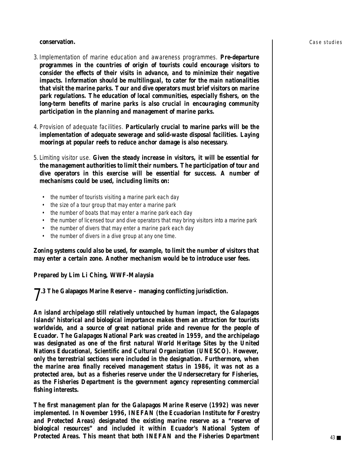#### Case studies

#### $conservation.$

- 3. Implementation of marine education and awareness programmes. *Pre-departure programmes in the countries of origin of tourists could encourage visitors to consider the effects of their visits in advance, and to minimize their negative impacts. Information should be multilingual, to cater for the main nationalities that visit the marine parks. Tour and dive operators must brief visitors on marine park regulations. The education of local communities, especially fishers, on the long-term benefits of marine parks is also crucial in encouraging community participation in the planning and management of marine parks.*
- 4. Provision of adequate facilities. *Particularly crucial to marine parks will be the implementation of adequate sewerage and solid-waste disposal facilities. Laying moorings at popular reefs to reduce anchor damage is also necessary.*
- 5. Limiting visitor use. *Given the steady increase in visitors, it will be essential for the management authorities to limit their numbers. The participation of tour and dive operators in this exercise will be essential for success. A number of mechanisms could be used, including limits on:*
	- the number of tourists visiting a marine park each day
	- the size of a tour group that may enter a marine park
	- the number of boats that may enter a marine park each day
	- the number of licensed tour and dive operators that may bring visitors into a marine park
	- the number of divers that may enter a marine park each day
	- the number of divers in a dive group at any one time.

*Zoning systems could also be used, for example, to limit the number of visitors that may enter a certain zone. Another mechanism would be to introduce user fees.*

#### *Prepared by Lim Li Ching, WWF-Malaysia*

## 7 **.3 The Galapagos Marine Reserve – managing conflicting jurisdiction.**

*An island archipelago still relatively untouched by human impact, the Galapagos Islands' historical and biological importance makes them an attraction for tourists worldwide, and a source of great national pride and revenue for the people of Ecuador. The Galapagos National Park was created in 1959, and the archipelago was designated as one of the first natural World Heritage Sites by the United Nations Educational, Scientific and Cultural Organization (UNESCO). However, only the terrestrial sections were included in the designation. Furthermore, when the marine area finally received management status in 1986, it was not as a protected area, but as a fisheries reserve under the Undersecretary for Fisheries, as the Fisheries Department is the government agency representing commercial fishing interests.*

*The first management plan for the Galapagos Marine Reserve (1992) was never implemented. In November 1996, INEFAN (the Ecuadorian Institute for Forestry and Protected Areas) designated the existing marine reserve as a "reserve of biological resources" and included it within Ecuador's National System of Protected Areas. This meant that both INEFAN and the Fisheries Department*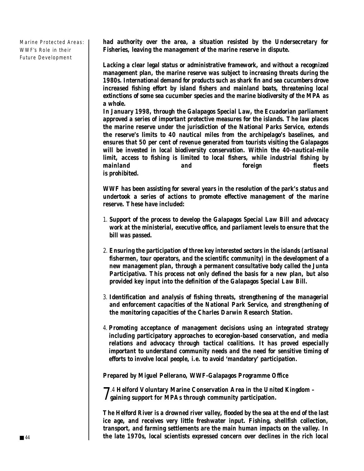*had authority over the area, a situation resisted by the Undersecretary for Fisheries, leaving the management of the marine reserve in dispute.* 

*Lacking a clear legal status or administrative framework, and without a recognized management plan, the marine reserve was subject to increasing threats during the 1980s. International demand for products such as shark fin and sea cucumbers drove increased fishing effort by island fishers and mainland boats, threatening local extinctions of some sea cucumber species and the marine biodiversity of the MPA as a whole.*

*In January 1998, through the Galapagos Special Law, the Ecuadorian parliament approved a series of important protective measures for the islands. The law places the marine reserve under the jurisdiction of the National Parks Service, extends the reserve's limits to 40 nautical miles from the archipelago's baselines, and ensures that 50 per cent of revenue generated from tourists visiting the Galapagos will be invested in local biodiversity conservation. Within the 40-nautical-mile limit, access to fishing is limited to local fishers, while industrial fishing by mainland and foreign fleets is prohibited.*

*WWF has been assisting for several years in the resolution of the park's status and undertook a series of actions to promote effective management of the marine reserve. These have included:*

- 1. *Support of the process to develop the Galapagos Special Law Bill and advocacy work at the ministerial, executive office, and parliament levels to ensure that the bill was passed.*
- 2. *Ensuring the participation of three key interested sectors in the islands (artisanal fishermen, tour operators, and the scientific community) in the development of a new management plan, through a permanent consultative body called the Junta Participativa. This process not only defined the basis for a new plan, but also provided key input into the definition of the Galapagos Special Law Bill.*
- 3. *Identification and analysis of fishing threats, strengthening of the managerial and enforcement capacities of the National Park Service, and strengthening of the monitoring capacities of the Charles Darwin Research Station.*
- 4. *Promoting acceptance of management decisions using an integrated strategy including participatory approaches to ecoregion-based conservation, and media relations and advocacy through tactical coalitions. It has proved especially important to understand community needs and the need for sensitive timing of efforts to involve local people, i.e. to avoid 'mandatory' participation.*

*Prepared by Miguel Pellerano, WWF-Galapagos Programme Office*

7 **gaining support for MPAs through community participation.** .4 **Helford Voluntary Marine Conservation Area in the United Kingdom –**

*The Helford River is a drowned river valley, flooded by the sea at the end of the last ice age, and receives very little freshwater input. Fishing, shellfish collection, transport, and farming settlements are the main human impacts on the valley. In the late 1970s, local scientists expressed concern over declines in the rich local*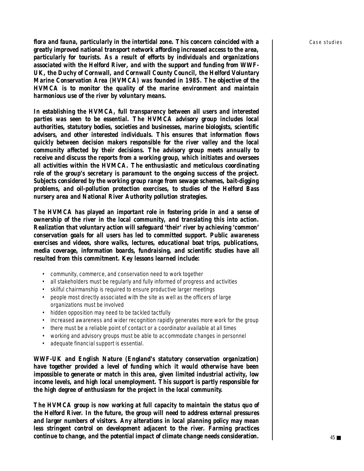Case studies

*flora and fauna, particularly in the intertidal zone. This concern coincided with a greatly improved national transport network affording increased access to the area, particularly for tourists. As a result of efforts by individuals and organizations associated with the Helford River, and with the support and funding from WWF-UK, the Duchy of Cornwall, and Cornwall County Council, the Helford Voluntary Marine Conservation Area (HVMCA) was founded in 1985. The objective of the HVMCA is to monitor the quality of the marine environment and maintain harmonious use of the river by voluntary means.*

*In establishing the HVMCA, full transparency between all users and interested parties was seen to be essential. The HVMCA advisory group includes local authorities, statutory bodies, societies and businesses, marine biologists, scientific advisers, and other interested individuals. This ensures that information flows quickly between decision makers responsible for the river valley and the local community affected by their decisions. The advisory group meets annually to receive and discuss the reports from a working group, which initiates and oversees all activities within the HVMCA. The enthusiastic and meticulous coordinating role of the group's secretary is paramount to the ongoing success of the project. Subjects considered by the working group range from sewage schemes, bait-digging problems, and oil-pollution protection exercises, to studies of the Helford Bass nursery area and National River Authority pollution strategies.*

*The HVMCA has played an important role in fostering pride in and a sense of ownership of the river in the local community, and translating this into action. Realization that voluntary action will safeguard 'their' river by achieving 'common' conservation goals for all users has led to committed support. Public awareness exercises and videos, shore walks, lectures, educational boat trips, publications, media coverage, information boards, fundraising, and scientific studies have all resulted from this commitment. Key lessons learned include:*

- community, commerce, and conservation need to work together
- all stakeholders must be regularly and fully informed of progress and activities
- skilful chairmanship is required to ensure productive larger meetings
- people most directly associated with the site as well as the officers of large organizations must be involved
- hidden opposition may need to be tackled tactfully
- increased awareness and wider recognition rapidly generates more work for the group
- there must be a reliable point of contact or a coordinator available at all times
- working and advisory groups must be able to accommodate changes in personnel
- adequate financial support is essential.

*WWF-UK and English Nature (England's statutory conservation organization) have together provided a level of funding which it would otherwise have been impossible to generate or match in this area, given limited industrial activity, low income levels, and high local unemployment. This support is partly responsible for the high degree of enthusiasm for the project in the local community.*

The HVMCA group is now working at full capacity to maintain the status quo of *the Helford River. In the future, the group will need to address external pressures and larger numbers of visitors. Any alterations in local planning policy may mean less stringent control on development adjacent to the river. Farming practices continue to change, and the potential impact of climate change needs consideration.*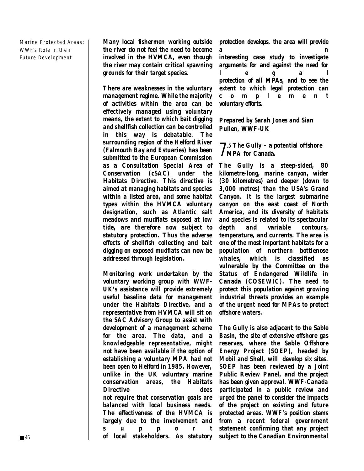*Many local fishermen working outside the river do not feel the need to become involved in the HVMCA, even though the river may contain critical spawning grounds for their target species.*

*There are weaknesses in the voluntary management regime. While the majority of activities within the area can be effectively managed using voluntary means, the extent to which bait digging and shellfish collection can be controlled in this way is debatable. The surrounding region of the Helford River (Falmouth Bay and Estuaries) has been submitted to the European Commission as a Consultation Special Area of Conservation (cSAC) under the Habitats Directive. This directive is aimed at managing habitats and species within a listed area, and some habitat types within the HVMCA voluntary designation, such as Atlantic salt meadows and mudflats exposed at low tide, are therefore now subject to statutory protection. Thus the adverse effects of shellfish collecting and bait digging on exposed mudflats can now be addressed through legislation.*

*Monitoring work undertaken by the voluntary working group with WWF-UK's assistance will provide extremely useful baseline data for management under the Habitats Directive, and a representative from HVMCA will sit on the SAC Advisory Group to assist with development of a management scheme for the area. The data, and a knowledgeable representative, might not have been available if the option of establishing a voluntary MPA had not been open to Helford in 1985. However, unlike in the UK voluntary marine conservation areas, the Habitats Directive does not require that conservation goals are balanced with local business needs. The effectiveness of the HVMCA is largely due to the involvement and s u p p o r t of local stakeholders. As statutory*

*protection develops, the area will provide a n interesting case study to investigate arguments for and against the need for l e g a l protection of all MPAs, and to see the extent to which legal protection can c o m p l e m e n t voluntary efforts.*

*Prepared by Sarah Jones and Sian Pullen, WWF-UK*

## 7 **MPA for Canada.** .5 **The Gully – a potential offshore**

*The Gully is a steep-sided, 80 kilometre-long, marine canyon, wider (30 kilometres) and deeper (down to 3,000 metres) than the USA's Grand Canyon. It is the largest submarine canyon on the east coast of North America, and its diversity of habitats and species is related to its spectacular depth and variable contours, temperature, and currents. The area is one of the most important habitats for a population of northern bottlenose whales, which is classified as vulnerable by the Committee on the Status of Endangered Wildlife in Canada (COSEWIC). The need to protect this population against growing industrial threats provides an example of the urgent need for MPAs to protect offshore waters.*

*The Gully is also adjacent to the Sable Basin, the site of extensive offshore gas reserves, where the Sable Offshore Energy Project (SOEP), headed by Mobil and Shell, will develop six sites. SOEP has been reviewed by a Joint Public Review Panel, and the project has been given approval. WWF-Canada participated in a public review and urged the panel to consider the impacts of the project on existing and future protected areas. WWF's position stems from a recent federal government statement confirming that any project subject to the Canadian Environmental*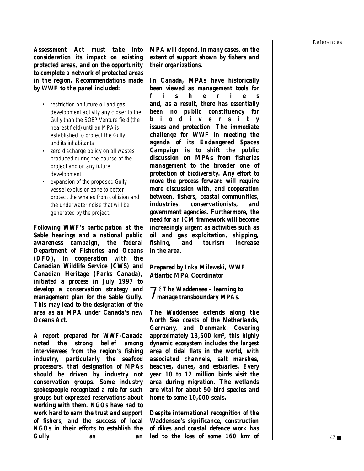**References** 

*Assessment Act must take into consideration its impact on existing protected areas, and on the opportunity to complete a network of protected areas in the region. Recommendations made by WWF to the panel included:* 

- restriction on future oil and gas development activity any closer to the Gully than the SOEP Venture field (the nearest field) until an MPA is established to protect the Gully and its inhabitants
- zero discharge policy on all wastes produced during the course of the project and on any future development
- expansion of the proposed Gully vessel exclusion zone to better protect the whales from collision and the underwater noise that will be generated by the project.

*Following WWF's participation at the Sable hearings and a national public awareness campaign, the federal Department of Fisheries and Oceans (DFO), in cooperation with the Canadian Wildlife Service (CWS) and Canadian Heritage (Parks Canada), initiated a process in July 1997 to develop a conservation strategy and management plan for the Sable Gully. This may lead to the designation of the area as an MPA under Canada's new Oceans Act.*

*A report prepared for WWF-Canada noted the strong belief among interviewees from the region's fishing industry, particularly the seafood processors, that designation of MPAs should be driven by industry not conservation groups. Some industry spokespeople recognized a role for such groups but expressed reservations about working with them. NGOs have had to work hard to earn the trust and support of fishers, and the success of local NGOs in their efforts to establish the Gully as an* 

*MPA will depend, in many cases, on the extent of support shown by fishers and their organizations.* 

*In Canada, MPAs have historically been viewed as management tools for f i s h e r i e s and, as a result, there has essentially been no public constituency for b i o d i v e r s i t y issues and protection. The immediate challenge for WWF in meeting the agenda of its Endangered Spaces Campaign is to shift the public discussion on MPAs from fisheries management to the broader one of protection of biodiversity. Any effort to move the process forward will require more discussion with, and cooperation between, fishers, coastal communities, industries, conservationists, and government agencies. Furthermore, the need for an ICM framework will become increasingly urgent as activities such as oil and gas exploitation, shipping, fishing, and tourism increase in the area.*

*Prepared by Inka Milewski, WWF Atlantic MPA Coordinator*

7 **manage transboundary MPAs.** .6 **The Waddensee – learning to**

*The Waddensee extends along the North Sea coasts of the Netherlands,* Germany, and Denmark. Covering *approximately 13,500 km<sup>2</sup> , this highly dynamic ecosystem includes the largest area of tidal flats in the world, with associated channels, salt marshes, beaches, dunes, and estuaries. Every year 10 to 12 million birds visit the area during migration. The wetlands are vital for about 50 bird species and home to some 10,000 seals.*

*Despite international recognition of the Waddensee's significance, construction of dikes and coastal defence work has led to the loss of some 160 km<sup>2</sup> of*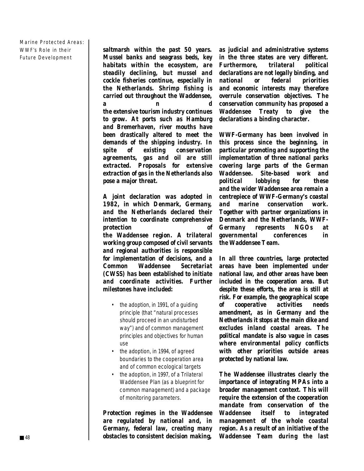*saltmarsh within the past 50 years. Mussel banks and seagrass beds, key habitats within the ecosystem, are steadily declining, but mussel and cockle fisheries continue, especially in the Netherlands. Shrimp fishing is carried out throughout the Waddensee, a n d the extensive tourism industry continues to grow. At ports such as Hamburg and Bremerhaven, river mouths have been drastically altered to meet the demands of the shipping industry. In spite of existing conservation agreements, gas and oil are still extracted. Proposals for extensive extraction of gas in the Netherlands also pose a major threat.*

*A joint declaration was adopted in 1982, in which Denmark, Germany, and the Netherlands declared their intention to coordinate comprehensive protection of the Waddensee region. A trilateral working group composed of civil servants and regional authorities is responsible for implementation of decisions, and a Common Waddensee Secretariat (CWSS) has been established to initiate and coordinate activities. Further milestones have included:* 

- the adoption, in 1991, of a guiding principle (that "natural processes should proceed in an undisturbed way") and of common management principles and objectives for human use
- the adoption, in 1994, of agreed boundaries to the cooperation area and of common ecological targets
- the adoption, in 1997, of a Trilateral Waddensee Plan (as a blueprint for common management) and a package of monitoring parameters.

*Protection regimes in the Waddensee are regulated by national and, in Germany, federal law, creating many obstacles to consistent decision making,*

*as judicial and administrative systems in the three states are very different. Furthermore, trilateral political declarations are not legally binding, and national or federal priorities and economic interests may therefore overrule conservation objectives. The conservation community has proposed a Waddensee Treaty to give the declarations a binding character.*

*WWF-Germany has been involved in this process since the beginning, in particular promoting and supporting the implementation of three national parks covering large parts of the German Waddensee. Site-based work and political lobbying for these and the wider Waddensee area remain a centrepiece of WWF-Germany's coastal and marine conservation work. Together with partner organizations in Denmark and the Netherlands, WWF-Germany represents NGOs at governmental conferences in the Waddensee Team.*

*In all three countries, large protected areas have been implemented under national law, and other areas have been included in the cooperation area. But despite these efforts, the area is still at risk. For example, the geographical scope of cooperative activities needs amendment, as in Germany and the Netherlands it stops at the main dike and excludes inland coastal areas. The political mandate is also vague in cases where environmental policy conflicts with other priorities outside areas protected by national law.*

*The Waddensee illustrates clearly the importance of integrating MPAs into a broader management context. This will require the extension of the cooperation mandate from conservation of the Waddensee itself to integrated management of the whole coastal region. As a result of an initiative of the Waddensee Team during the last*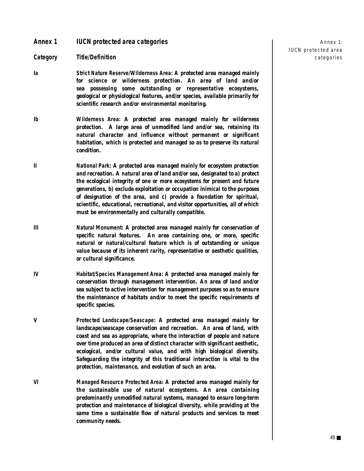#### **Annex 1 IUCN protected area categories**

#### **Category Title/Definition**

- **Ia Strict Nature Reserve/Wilderness Area:** *A protected area managed mainly for science or wilderness protection. An area of land and/or sea possessing some outstanding or representative ecosystems, geological or physiological features, and/or species, available primarily for scientific research and/or environmental monitoring.*
- **Ib Wilderness Area:** *A protected area managed mainly for wilderness protection. A large area of unmodified land and/or sea, retaining its natural character and influence without permanent or significant habitation, which is protected and managed so as to preserve its natural condition.*
- **II National Park:** *A protected area managed mainly for ecosystem protection and recreation. A natural area of land and/or sea, designated to a) protect the ecological integrity of one or more ecosystems for present and future generations, b) exclude exploitation or occupation inimical to the purposes of designation of the area, and c) provide a foundation for spiritual, scientific, educational, recreational, and visitor opportunities, all of which must be environmentally and culturally compatible.*
- **III Natural Monument:** *A protected area managed mainly for conservation of specific natural features. An area containing one, or more, specific natural or natural/cultural feature which is of outstanding or unique value because of its inherent rarity, representative or aesthetic qualities, or cultural significance.*
- **IV Habitat/Species Management Area:** *A protected area managed mainly for conservation through management intervention. An area of land and/or sea subject to active intervention for management purposes so as to ensure the maintenance of habitats and/or to meet the specific requirements of specific species.*
- **V Protected Landscape/Seascape:** *A protected area managed mainly for landscape/seascape conservation and recreation. An area of land, with coast and sea as appropriate, where the interaction of people and nature over time produced an area of distinct character with significant aesthetic, ecological, and/or cultural value, and with high biological diversity. Safeguarding the integrity of this traditional interaction is vital to the protection, maintenance, and evolution of such an area.*
- **VI Managed Resource Protected Area:** *A protected area managed mainly for the sustainable use of natural ecosystems. An area containing predominantly unmodified natural systems, managed to ensure long-term protection and maintenance of biological diversity, while providing at the same time a sustainable flow of natural products and services to meet community needs.*

Annex 1: IUCN protected area categories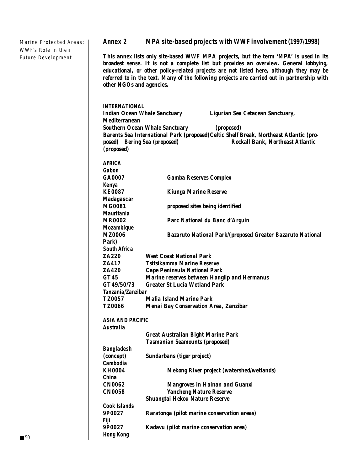#### **Annex 2 MPA site-based projects with WWF involvement (1997/1998)**

*This annex lists only site-based WWF MPA projects, but the term 'MPA' is used in its broadest sense. It is not a complete list but provides an overview. General lobbying, educational, or other policy-related projects are not listed here, although they may be referred to in the text. Many of the following projects are carried out in partnership with other NGOs and agencies.*

| <b>INTERNATIONAL</b>    |                                                                                        |
|-------------------------|----------------------------------------------------------------------------------------|
|                         | <b>Indian Ocean Whale Sanctuary</b><br>Ligurian Sea Cetacean Sanctuary,                |
| <b>Mediterranean</b>    |                                                                                        |
|                         | <b>Southern Ocean Whale Sanctuary</b><br>(proposed)                                    |
|                         | Barents Sea International Park (proposed) Celtic Shelf Break, Northeast Atlantic (pro- |
|                         | <b>Rockall Bank, Northeast Atlantic</b><br>posed) Bering Sea (proposed)                |
| (proposed)              |                                                                                        |
| <b>AFRICA</b>           |                                                                                        |
| Gabon                   |                                                                                        |
| GA0007                  | <b>Gamba Reserves Complex</b>                                                          |
| Kenya                   |                                                                                        |
| <b>KE0087</b>           | <b>Kiunga Marine Reserve</b>                                                           |
| Madagascar              |                                                                                        |
| <b>MG0081</b>           | proposed sites being identified                                                        |
| Mauritania              |                                                                                        |
| <b>MR0002</b>           | Parc National du Banc d'Arguin                                                         |
| Mozambique              |                                                                                        |
| <b>MZ0006</b>           | <b>Bazaruto National Park/(proposed Greater Bazaruto National</b>                      |
| Park)                   |                                                                                        |
| <b>South Africa</b>     |                                                                                        |
| <b>ZA220</b>            | <b>West Coast National Park</b>                                                        |
| ZA417                   | Tsitsikamma Marine Reserve                                                             |
| ZA420                   | <b>Cape Peninsula National Park</b>                                                    |
| GT45                    | <b>Marine reserves between Hanglip and Hermanus</b>                                    |
| GT49/50/73              | <b>Greater St Lucia Wetland Park</b>                                                   |
| Tanzania/Zanzibar       |                                                                                        |
| <b>TZ0057</b>           | <b>Mafia Island Marine Park</b>                                                        |
| TZ0066                  | Menai Bay Conservation Area, Zanzibar                                                  |
|                         |                                                                                        |
| <b>ASIA AND PACIFIC</b> |                                                                                        |
| Australia               |                                                                                        |
|                         | <b>Great Australian Bight Marine Park</b>                                              |
|                         | <b>Tasmanian Seamounts (proposed)</b>                                                  |
| <b>Bangladesh</b>       |                                                                                        |
| (concept)               | Sundarbans (tiger project)                                                             |
| Cambodia                |                                                                                        |
| <b>KH0004</b>           | Mekong River project (watershed/wetlands)                                              |
| China                   |                                                                                        |
| <b>CN0062</b>           | <b>Mangroves in Hainan and Guanxi</b>                                                  |
| <b>CN0058</b>           | <b>Yancheng Nature Reserve</b>                                                         |
|                         | Shuangtai Hekou Nature Reserve                                                         |
| <b>Cook Islands</b>     |                                                                                        |
| 9P0027                  | Raratonga (pilot marine conservation areas)                                            |
| Fiji                    |                                                                                        |
| 9P0027                  | Kadavu (pilot marine conservation area)                                                |

Marine Protected Areas: WWF's Role in their Future Development

**Hong Kong**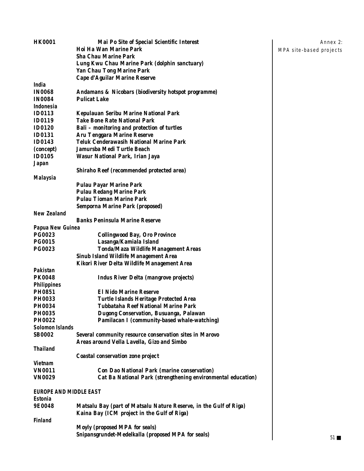| <b>HK0001</b>                 | Mai Po Site of Special Scientific Interest                        |
|-------------------------------|-------------------------------------------------------------------|
|                               | Hoi Ha Wan Marine Park                                            |
|                               | <b>Sha Chau Marine Park</b>                                       |
|                               | Lung Kwu Chau Marine Park (dolphin sanctuary)                     |
|                               | Yan Chau Tong Marine Park                                         |
|                               | Cape d'Aguilar Marine Reserve                                     |
| India                         |                                                                   |
| <b>IN0068</b>                 | Andamans & Nicobars (biodiversity hotspot programme)              |
| <b>IN0084</b>                 | <b>Pulicat Lake</b>                                               |
| Indonesia                     |                                                                   |
| <b>ID0113</b>                 | Kepulauan Seribu Marine National Park                             |
| <b>ID0119</b>                 | <b>Take Bone Rate National Park</b>                               |
| <b>ID0120</b>                 | Bali - monitoring and protection of turtles                       |
| <b>ID0131</b>                 | <b>Aru Tenggara Marine Reserve</b>                                |
| <b>ID0143</b>                 | <b>Teluk Cenderawasih National Marine Park</b>                    |
| (concept)                     | Jamursba Medi Turtle Beach                                        |
| <b>ID0105</b>                 | Wasur National Park, Irian Jaya                                   |
| Japan                         |                                                                   |
|                               | Shiraho Reef (recommended protected area)                         |
| Malaysia                      |                                                                   |
|                               | <b>Pulau Payar Marine Park</b>                                    |
|                               | <b>Pulau Redang Marine Park</b>                                   |
|                               | <b>Pulau Tioman Marine Park</b>                                   |
|                               | <b>Semporna Marine Park (proposed)</b>                            |
| <b>New Zealand</b>            |                                                                   |
|                               | <b>Banks Peninsula Marine Reserve</b>                             |
| Papua New Guinea              |                                                                   |
| <b>PG0023</b>                 | <b>Collingwood Bay, Oro Province</b>                              |
| <b>PG0015</b>                 | Lasanga/Kamiala Island                                            |
| <b>PG0023</b>                 | Tonda/Maza Wildlife Management Areas                              |
|                               | <b>Sinub Island Wildlife Management Area</b>                      |
|                               | Kikori River Delta Wildlife Management Area                       |
| Pakistan                      |                                                                   |
| <b>PK0048</b>                 | <b>Indus River Delta (mangrove projects)</b>                      |
| <b>Philippines</b>            |                                                                   |
| <b>PH0851</b>                 | <b>El Nido Marine Reserve</b>                                     |
| <b>PH0033</b>                 | Turtle Islands Heritage Protected Area                            |
| <b>PH0034</b>                 | <b>Tubbataha Reef National Marine Park</b>                        |
| PH0035                        | Dugong Conservation, Busuanga, Palawan                            |
| <b>PH0022</b>                 | Pamilacan I (community-based whale-watching)                      |
| <b>Solomon Islands</b>        |                                                                   |
| <b>SB0002</b>                 | Several community resource conservation sites in Marovo           |
|                               | Areas around Vella Lavella, Gizo and Simbo                        |
| <b>Thailand</b>               |                                                                   |
|                               | Coastal conservation zone project                                 |
| Vietnam                       |                                                                   |
| <b>VN0011</b>                 | <b>Con Dao National Park (marine conservation)</b>                |
| <b>VN0029</b>                 | Cat Ba National Park (strengthening environmental education)      |
|                               |                                                                   |
| <b>EUROPE AND MIDDLE EAST</b> |                                                                   |
| Estonia                       |                                                                   |
| <b>9E0048</b>                 | Matsalu Bay (part of Matsalu Nature Reserve, in the Gulf of Riga) |
|                               | Kaina Bay (ICM project in the Gulf of Riga)                       |
| Finland                       |                                                                   |
|                               | Moyly (proposed MPA for seals)                                    |
|                               | Snipansgrundet-Medelkalla (proposed MPA for seals)                |
|                               |                                                                   |

Annex 2: MPA site-based projects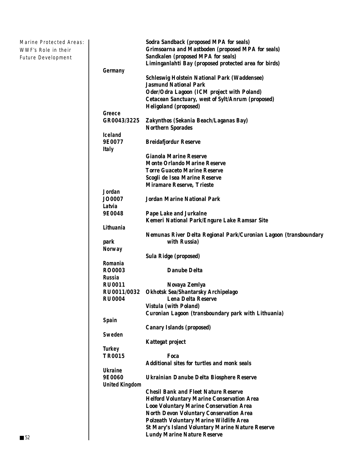|                                   | Sodra Sandback (proposed MPA for seals)<br>Grimsoarna and Mastboden (proposed MPA for seals)<br>Sandkalen (proposed MPA for seals)<br>Liminganlahti Bay (proposed protected area for birds) |
|-----------------------------------|---------------------------------------------------------------------------------------------------------------------------------------------------------------------------------------------|
| Germany                           | <b>Schleswig Holstein National Park (Waddensee)</b><br><b>Jasmund National Park</b>                                                                                                         |
|                                   | Oder/Odra Lagoon (ICM project with Poland)<br>Cetacean Sanctuary, west of Sylt/Anrum (proposed)<br><b>Heligoland</b> (proposed)                                                             |
| Greece<br>GR0043/3225             | Zakynthos (Sekania Beach/Laganas Bay)<br><b>Northern Sporades</b>                                                                                                                           |
| <b>Iceland</b><br>9E0077<br>Italy | <b>Breidafjordur Reserve</b>                                                                                                                                                                |
|                                   | <b>Gianola Marine Reserve</b>                                                                                                                                                               |
|                                   | <b>Monte Orlando Marine Reserve</b>                                                                                                                                                         |
|                                   | <b>Torre Guaceto Marine Reserve</b>                                                                                                                                                         |
|                                   | Scogli de Isea Marine Reserve                                                                                                                                                               |
|                                   | <b>Miramare Reserve, Trieste</b>                                                                                                                                                            |
| Jordan                            |                                                                                                                                                                                             |
| <b>JO0007</b>                     | <b>Jordan Marine National Park</b>                                                                                                                                                          |
| Latvia                            |                                                                                                                                                                                             |
| <b>9E0048</b>                     | <b>Pape Lake and Jurkalne</b><br>Kemeri National Park/Engure Lake Ramsar Site                                                                                                               |
| Lithuania                         |                                                                                                                                                                                             |
|                                   | Nemunas River Delta Regional Park/Curonian Lagoon (transboundary                                                                                                                            |
| park                              | with Russia)                                                                                                                                                                                |
| Norway                            |                                                                                                                                                                                             |
|                                   | <b>Sula Ridge (proposed)</b>                                                                                                                                                                |
| Romania                           |                                                                                                                                                                                             |
| <b>RO0003</b>                     | <b>Danube Delta</b>                                                                                                                                                                         |
| <b>Russia</b>                     |                                                                                                                                                                                             |
| <b>RU0011</b>                     | Novaya Zemlya                                                                                                                                                                               |
| <b>RU0011/0032</b>                | <b>Okhotsk Sea/Shantarsky Archipelago</b>                                                                                                                                                   |
| <b>RU0004</b>                     | Lena Delta Reserve                                                                                                                                                                          |
|                                   | <b>Vistula (with Poland)</b>                                                                                                                                                                |
| <b>Spain</b>                      | Curonian Lagoon (transboundary park with Lithuania)                                                                                                                                         |
|                                   | <b>Canary Islands (proposed)</b>                                                                                                                                                            |
| Sweden                            |                                                                                                                                                                                             |
|                                   | Kattegat project                                                                                                                                                                            |
| <b>Turkey</b>                     |                                                                                                                                                                                             |
| <b>TR0015</b>                     | Foca                                                                                                                                                                                        |
|                                   | <b>Additional sites for turtles and monk seals</b>                                                                                                                                          |
| <b>Ukraine</b>                    |                                                                                                                                                                                             |
| <b>9E0060</b>                     | Ukrainian Danube Delta Biosphere Reserve                                                                                                                                                    |
| <b>United Kingdom</b>             |                                                                                                                                                                                             |
|                                   | <b>Chesil Bank and Fleet Nature Reserve</b>                                                                                                                                                 |
|                                   | <b>Helford Voluntary Marine Conservation Area</b><br><b>Looe Voluntary Marine Conservation Area</b>                                                                                         |
|                                   | <b>North Devon Voluntary Conservation Area</b>                                                                                                                                              |
|                                   | Polzeath Voluntary Marine Wildlife Area                                                                                                                                                     |
|                                   | <b>St Mary's Island Voluntary Marine Nature Reserve</b>                                                                                                                                     |
|                                   | <b>Lundy Marine Nature Reserve</b>                                                                                                                                                          |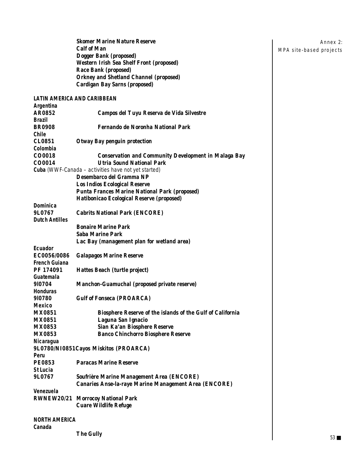*Skomer Marine Nature Reserve Calf of Man Dogger Bank (proposed) Western Irish Sea Shelf Front (proposed) Race Bank (proposed) Orkney and Shetland Channel (proposed) Cardigan Bay Sarns (proposed)* **LATIN AMERICA AND CARIBBEAN Argentina** *AR0852 Campos del Tuyu Reserva de Vida Silvestre* **Brazil** *BR0908 Fernando de Noronha National Park* **Chile** *CL0851 Otway Bay penguin protection* **Colombia** *CO0018 Conservation and Community Development in Malaga Bay CO0014 Utria Sound National Park*  **Cuba** (WWF-Canada – activities have not yet started) *Desembarco del Gramma NP Los Indios Ecological Reserve Punta Frances Marine National Park (proposed) Hatibonicao Ecological Reserve (proposed)* **Dominica** *9L0767 Cabrits National Park (ENCORE)* **Dutch Antilles**  *Bonaire Marine Park Saba Marine Park Lac Bay (management plan for wetland area)* **Ecuador** *EC0056/0086 Galapagos Marine Reserve* **French Guiana** *PF 174091 Hattes Beach (turtle project)* **Guatemala** *9l0704 Manchon-Guamuchal (proposed private reserve)* **Honduras** *9l0780 Gulf of Fonseca (PROARCA)* **Mexico** *MX0851 Biosphere Reserve of the islands of the Gulf of California MX0851 Laguna San Ignacio MX0853 Sian Ka'an Biosphere Reserve MX0853 Banco Chinchorro Biosphere Reserve* **Nicaragua** *9L0780/NI0851Cayos Miskitos (PROARCA)* **Peru** *PE0853 Paracas Marine Reserve* **St Lucia** *9L0767 Soufrière Marine Management Area (ENCORE) Canaries Anse-la-raye Marine Management Area (ENCORE)* **Venezuela** *RWNEW20/21 Morrocoy National Park Cuare Wildlife Refuge* **NORTH AMERICA**

**Canada**

*The Gully*

An nex 2: MPA site-based projects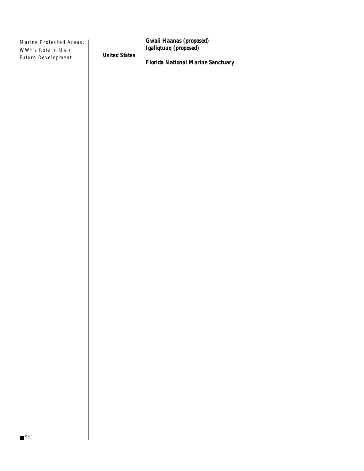| Marine Protected Areas: 1 |  |
|---------------------------|--|
| WWF's Role in their       |  |
| Future Development        |  |

*Gwaii Haanas (proposed) Igaliqtuuq (proposed)* **United States** *Florida National Marine Sanctuary*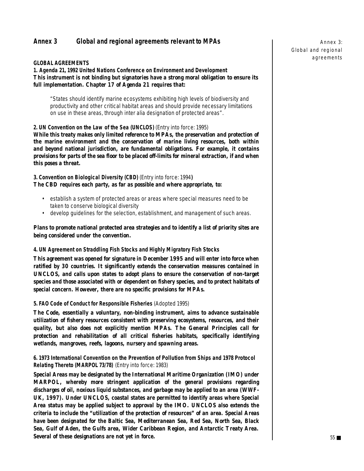#### **Annex 3 Global and regional agreements relevant to MPAs**

#### **GLOBAL AGREEMENTS**

**1. Agenda 21, 1992 United Nations Conference on Environment and Development** *This instrument is not binding but signatories have a strong moral obligation to ensure its full implementation. Chapter 17 of Agenda 21 requires that:*

"States should identify marine ecosystems exhibiting high levels of biodiversity and productivity and other critical habitat areas and should provide necessary limitations on use in these areas, through *inter alia* designation of protected areas".

#### **2. UN Convention on the Law of the Sea (UNCLOS)** (Entry into force: 1995)

*While this treaty makes only limited reference to MPAs, the preservation and protection of the marine environment and the conservation of marine living resources, both within and beyond national jurisdiction, are fundamental obligations. For example, it contains provisions for parts of the sea floor to be placed off-limits for mineral extraction, if and when this poses a threat.*

**3. Convention on Biological Diversity (CBD)** (Entry into force: 1994**)** *The CBD requires each party, as far as possible and where appropriate, to:*

- establish a system of protected areas or areas where special measures need to be taken to conserve biological diversity
- develop guidelines for the selection, establishment, and management of such areas.

#### *Plans to promote national protected area strategies and to identify a list of priority sites are being considered under the convention.*

#### **4. UN Agreement on Straddling Fish Stocks and Highly Migratory Fish Stocks**

*This agreement was opened for signature in December 1995 and will enter into force when ratified by 30 countries. It significantly extends the conservation measures contained in UNCLOS, and calls upon states to adopt plans to ensure the conservation of non-target species and those associated with or dependent on fishery species, and to protect habitats of special concern. However, there are no specific provisions for MPAs.*

#### **5. FAO Code of Conduct for Responsible Fisheries** (Adopted 1995)

*The Code, essentially a voluntary, non-binding instrument, aims to advance sustainable utilization of fishery resources consistent with preserving ecosystems, resources, and their quality, but also does not explicitly mention MPAs. The General Principles call for protection and rehabilitation of all critical fisheries habitats, specifically identifying wetlands, mangroves, reefs, lagoons, nursery and spawning areas.*

#### **6. 1973 International Convention on the Prevention of Pollution from Ships and 1978 Protocol Relating Thereto (MARPOL 73/78)** (Entry into force: 1983)

*Special Areas may be designated by the International Maritime Organization (IMO) under MARPOL, whereby more stringent application of the general provisions regarding discharges of oil, noxious liquid substances, and garbage may be applied to an area (WWF-UK, 1997). Under UNCLOS, coastal states are permitted to identify areas where Special Area status may be applied subject to approval by the IMO. UNCLOS also extends the criteria to include the "utilization of the protection of resources" of an area. Special Areas have been designated for the Baltic Sea, Mediterranean Sea, Red Sea, North Sea, Black Sea, Gulf of Aden, the Gulfs area, Wider Caribbean Region, and Antarctic Treaty Area. Several of these designations are not yet in force.* 

An nex 3: Global and regional agreements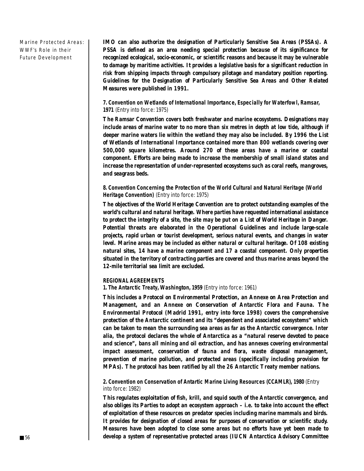*IMO can also authorize the designation of Particularly Sensitive Sea Areas (PSSAs). A PSSA is defined as an area needing special protection because of its significance for recognized ecological, socio-economic, or scientific reasons and because it may be vulnerable to damage by maritime activities. It provides a legislative basis for a significant reduction in risk from shipping impacts through compulsory pilotage and mandatory position reporting. Guidelines for the Designation of Particularly Sensitive Sea Areas and Other Related Measures were published in 1991.*

**7. Convention on Wetlands of International Importance, Especially for Waterfowl, Ramsar, 1971** (Entry into force: 1975)

*The Ramsar Convention covers both freshwater and marine ecosystems. Designations may include areas of marine water to no more than six metres in depth at low tide, although if deeper marine waters lie within the wetland they may also be included. By 1996 the List of Wetlands of International Importance contained more than 800 wetlands covering over 500,000 square kilometres. Around 270 of these areas have a marine or coastal component. Efforts are being made to increase the membership of small island states and increase the representation of under-represented ecosystems such as coral reefs, mangroves, and seagrass beds.*

**8. Convention Concerning the Protection of the World Cultural and Natural Heritage (World Heritage Convention)** (Entry into force: 1975)

*The objectives of the World Heritage Convention are to protect outstanding examples of the w o r l d 's cultural and natural heritage. Where parties have requested international assistance to protect the integrity of a site, the site may be put on a List of World Heritage in Danger. Potential threats are elaborated in the Operational Guidelines and include large-scale projects, rapid urban or tourist development, serious natural events, and changes in water level. Marine areas may be included as either natural or cultural heritage. Of 108 existing natural sites, 14 have a marine component and 17 a coastal component. Only properties situated in the territory of contracting parties are covered and thus marine areas beyond the 12-mile territorial sea limit are excluded.*

#### **REGIONAL AGREEMENTS**

**1. The Antarctic Treaty, Washington, 1959** (Entry into force: 1961)

*This includes a Protocol on Environmental Protection, an Annexe on Area Protection and Management, and an Annexe on Conservation of Antarctic Flora and Fauna. The Environmental Protocol (Madrid 1991, entry into force 1998) covers the comprehensive protection of the Antarctic continent and its "dependent and associated ecosystems" which can be taken to mean the surrounding sea areas as far as the Antarctic convergence. Inter alia, the protocol declares the whole of Antarctica as a "natural reserve devoted to peace and science", bans all mining and oil extraction, and has annexes covering environmental impact assessment, conservation of fauna and flora, waste disposal management, prevention of marine pollution, and protected areas (specifically including provision for MPAs). The protocol has been ratified by all the 26 Antarctic Treaty member nations.*

**2. Convention on Conservation of Antartic Marine Living Resources (CCAMLR), 1980** (Entry into force: 1982)

*This regulates exploitation of fish, krill, and squid south of the Antarctic convergence, and also obliges its Parties to adopt an ecosystem approach – i.e. to take into account the effect of exploitation of these resources on predator species including marine mammals and birds. It provides for designation of closed areas for purposes of conservation or scientific study. Measures have been adopted to close some areas but no efforts have yet been made to develop a system of representative protected areas (IUCN Antarctica Advisory Committee*